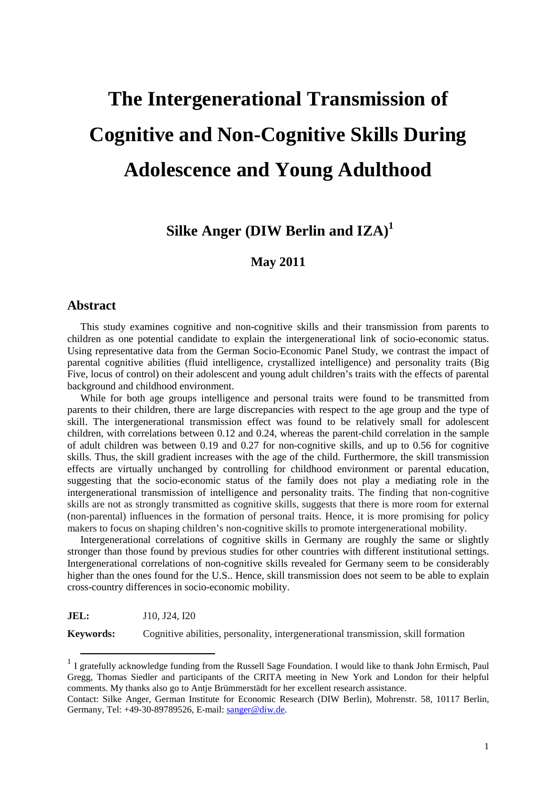# **The Intergenerational Transmission of Cognitive and Non-Cognitive Skills During Adolescence and Young Adulthood**

 **Silke Anger (DIW Berlin and IZA)<sup>1</sup>**

# **May 2011**

# **Abstract**

This study examines cognitive and non-cognitive skills and their transmission from parents to children as one potential candidate to explain the intergenerational link of socio-economic status. Using representative data from the German Socio-Economic Panel Study, we contrast the impact of parental cognitive abilities (fluid intelligence, crystallized intelligence) and personality traits (Big Five, locus of control) on their adolescent and young adult children's traits with the effects of parental background and childhood environment.

While for both age groups intelligence and personal traits were found to be transmitted from parents to their children, there are large discrepancies with respect to the age group and the type of skill. The intergenerational transmission effect was found to be relatively small for adolescent children, with correlations between 0.12 and 0.24, whereas the parent-child correlation in the sample of adult children was between 0.19 and 0.27 for non-cognitive skills, and up to 0.56 for cognitive skills. Thus, the skill gradient increases with the age of the child. Furthermore, the skill transmission effects are virtually unchanged by controlling for childhood environment or parental education, suggesting that the socio-economic status of the family does not play a mediating role in the intergenerational transmission of intelligence and personality traits. The finding that non-cognitive skills are not as strongly transmitted as cognitive skills, suggests that there is more room for external (non-parental) influences in the formation of personal traits. Hence, it is more promising for policy makers to focus on shaping children's non-cognitive skills to promote intergenerational mobility.

Intergenerational correlations of cognitive skills in Germany are roughly the same or slightly stronger than those found by previous studies for other countries with different institutional settings. Intergenerational correlations of non-cognitive skills revealed for Germany seem to be considerably higher than the ones found for the U.S.. Hence, skill transmission does not seem to be able to explain cross-country differences in socio-economic mobility.

**JEL:** J10, J24, I20

 $\overline{a}$ 

**Keywords:** Cognitive abilities, personality, intergenerational transmission, skill formation

<sup>&</sup>lt;sup>1</sup> I gratefully acknowledge funding from the Russell Sage Foundation. I would like to thank John Ermisch, Paul Gregg, Thomas Siedler and participants of the CRITA meeting in New York and London for their helpful comments. My thanks also go to Antje Brümmerstädt for her excellent research assistance.

Contact: Silke Anger, German Institute for Economic Research (DIW Berlin), Mohrenstr. 58, 10117 Berlin, Germany, Tel: +49-30-89789526, E-mail: sanger@diw.de.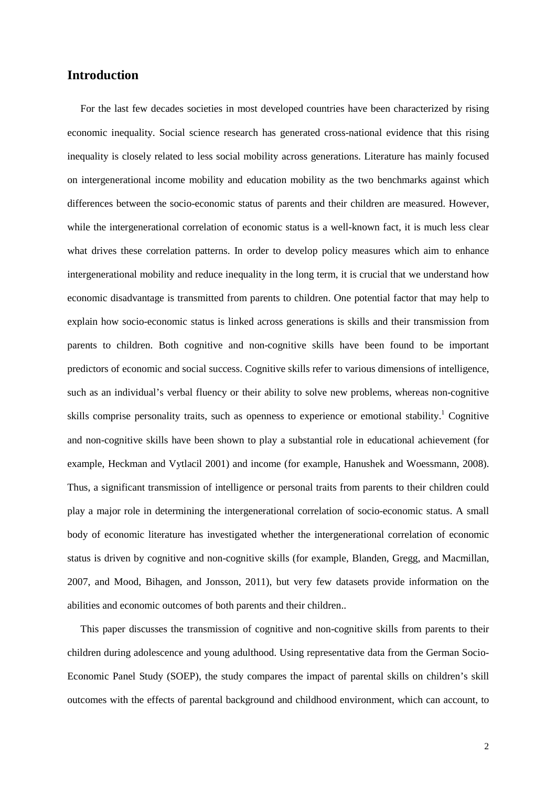# **Introduction**

For the last few decades societies in most developed countries have been characterized by rising economic inequality. Social science research has generated cross-national evidence that this rising inequality is closely related to less social mobility across generations. Literature has mainly focused on intergenerational income mobility and education mobility as the two benchmarks against which differences between the socio-economic status of parents and their children are measured. However, while the intergenerational correlation of economic status is a well-known fact, it is much less clear what drives these correlation patterns. In order to develop policy measures which aim to enhance intergenerational mobility and reduce inequality in the long term, it is crucial that we understand how economic disadvantage is transmitted from parents to children. One potential factor that may help to explain how socio-economic status is linked across generations is skills and their transmission from parents to children. Both cognitive and non-cognitive skills have been found to be important predictors of economic and social success. Cognitive skills refer to various dimensions of intelligence, such as an individual's verbal fluency or their ability to solve new problems, whereas non-cognitive skills comprise personality traits, such as openness to experience or emotional stability.<sup>1</sup> Cognitive and non-cognitive skills have been shown to play a substantial role in educational achievement (for example, Heckman and Vytlacil 2001) and income (for example, Hanushek and Woessmann, 2008). Thus, a significant transmission of intelligence or personal traits from parents to their children could play a major role in determining the intergenerational correlation of socio-economic status. A small body of economic literature has investigated whether the intergenerational correlation of economic status is driven by cognitive and non-cognitive skills (for example, Blanden, Gregg, and Macmillan, 2007, and Mood, Bihagen, and Jonsson, 2011), but very few datasets provide information on the abilities and economic outcomes of both parents and their children..

This paper discusses the transmission of cognitive and non-cognitive skills from parents to their children during adolescence and young adulthood. Using representative data from the German Socio-Economic Panel Study (SOEP), the study compares the impact of parental skills on children's skill outcomes with the effects of parental background and childhood environment, which can account, to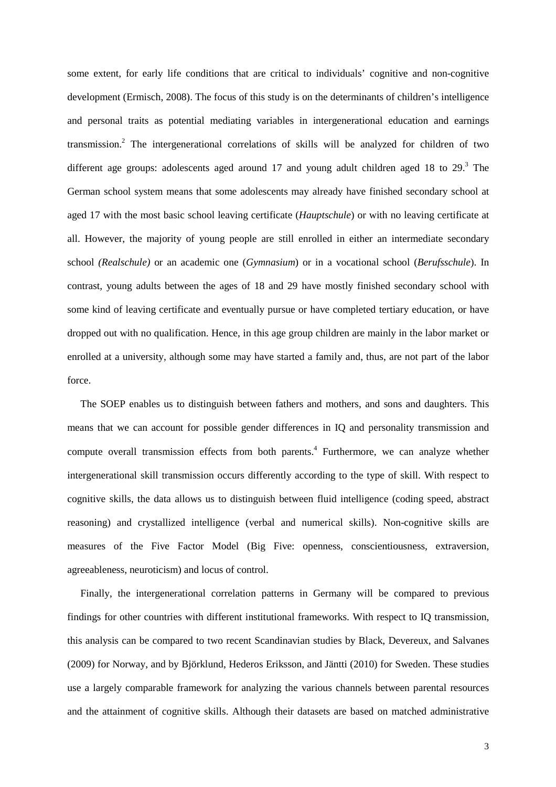some extent, for early life conditions that are critical to individuals' cognitive and non-cognitive development (Ermisch, 2008). The focus of this study is on the determinants of children's intelligence and personal traits as potential mediating variables in intergenerational education and earnings transmission.<sup>2</sup> The intergenerational correlations of skills will be analyzed for children of two different age groups: adolescents aged around 17 and young adult children aged 18 to  $29$ .<sup>3</sup> The German school system means that some adolescents may already have finished secondary school at aged 17 with the most basic school leaving certificate (*Hauptschule*) or with no leaving certificate at all. However, the majority of young people are still enrolled in either an intermediate secondary school *(Realschule)* or an academic one (*Gymnasium*) or in a vocational school (*Berufsschule*). In contrast, young adults between the ages of 18 and 29 have mostly finished secondary school with some kind of leaving certificate and eventually pursue or have completed tertiary education, or have dropped out with no qualification. Hence, in this age group children are mainly in the labor market or enrolled at a university, although some may have started a family and, thus, are not part of the labor force.

The SOEP enables us to distinguish between fathers and mothers, and sons and daughters. This means that we can account for possible gender differences in IQ and personality transmission and compute overall transmission effects from both parents.<sup>4</sup> Furthermore, we can analyze whether intergenerational skill transmission occurs differently according to the type of skill. With respect to cognitive skills, the data allows us to distinguish between fluid intelligence (coding speed, abstract reasoning) and crystallized intelligence (verbal and numerical skills). Non-cognitive skills are measures of the Five Factor Model (Big Five: openness, conscientiousness, extraversion, agreeableness, neuroticism) and locus of control.

Finally, the intergenerational correlation patterns in Germany will be compared to previous findings for other countries with different institutional frameworks. With respect to IQ transmission, this analysis can be compared to two recent Scandinavian studies by Black, Devereux, and Salvanes (2009) for Norway, and by Björklund, Hederos Eriksson, and Jäntti (2010) for Sweden. These studies use a largely comparable framework for analyzing the various channels between parental resources and the attainment of cognitive skills. Although their datasets are based on matched administrative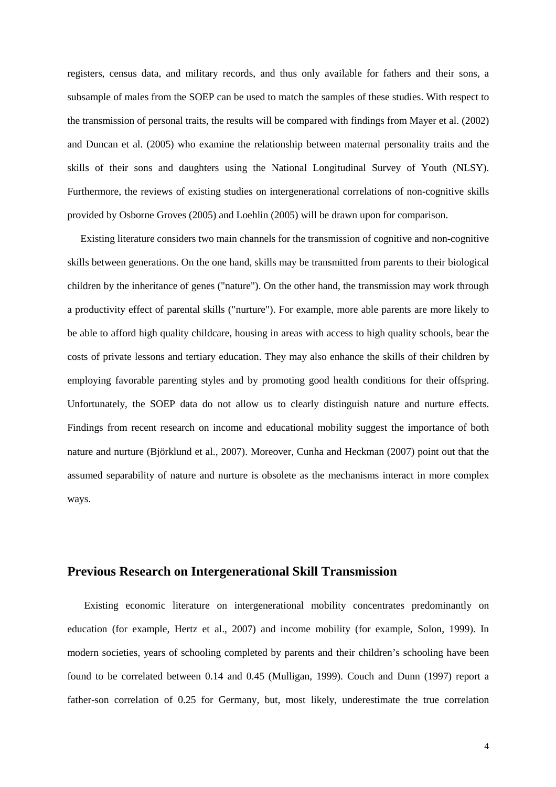registers, census data, and military records, and thus only available for fathers and their sons, a subsample of males from the SOEP can be used to match the samples of these studies. With respect to the transmission of personal traits, the results will be compared with findings from Mayer et al. (2002) and Duncan et al. (2005) who examine the relationship between maternal personality traits and the skills of their sons and daughters using the National Longitudinal Survey of Youth (NLSY). Furthermore, the reviews of existing studies on intergenerational correlations of non-cognitive skills provided by Osborne Groves (2005) and Loehlin (2005) will be drawn upon for comparison.

Existing literature considers two main channels for the transmission of cognitive and non-cognitive skills between generations. On the one hand, skills may be transmitted from parents to their biological children by the inheritance of genes ("nature"). On the other hand, the transmission may work through a productivity effect of parental skills ("nurture"). For example, more able parents are more likely to be able to afford high quality childcare, housing in areas with access to high quality schools, bear the costs of private lessons and tertiary education. They may also enhance the skills of their children by employing favorable parenting styles and by promoting good health conditions for their offspring. Unfortunately, the SOEP data do not allow us to clearly distinguish nature and nurture effects. Findings from recent research on income and educational mobility suggest the importance of both nature and nurture (Björklund et al., 2007). Moreover, Cunha and Heckman (2007) point out that the assumed separability of nature and nurture is obsolete as the mechanisms interact in more complex ways.

# **Previous Research on Intergenerational Skill Transmission**

Existing economic literature on intergenerational mobility concentrates predominantly on education (for example, Hertz et al., 2007) and income mobility (for example, Solon, 1999). In modern societies, years of schooling completed by parents and their children's schooling have been found to be correlated between 0.14 and 0.45 (Mulligan, 1999). Couch and Dunn (1997) report a father-son correlation of 0.25 for Germany, but, most likely, underestimate the true correlation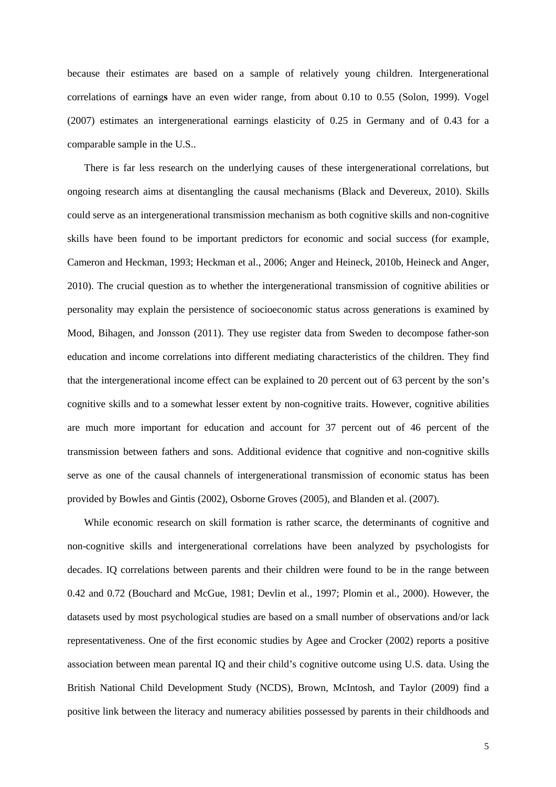because their estimates are based on a sample of relatively young children. Intergenerational correlations of earning**s** have an even wider range, from about 0.10 to 0.55 (Solon, 1999). Vogel (2007) estimates an intergenerational earnings elasticity of 0.25 in Germany and of 0.43 for a comparable sample in the U.S..

There is far less research on the underlying causes of these intergenerational correlations, but ongoing research aims at disentangling the causal mechanisms (Black and Devereux, 2010). Skills could serve as an intergenerational transmission mechanism as both cognitive skills and non-cognitive skills have been found to be important predictors for economic and social success (for example, Cameron and Heckman, 1993; Heckman et al., 2006; Anger and Heineck, 2010b, Heineck and Anger, 2010). The crucial question as to whether the intergenerational transmission of cognitive abilities or personality may explain the persistence of socioeconomic status across generations is examined by Mood, Bihagen, and Jonsson (2011). They use register data from Sweden to decompose father-son education and income correlations into different mediating characteristics of the children. They find that the intergenerational income effect can be explained to 20 percent out of 63 percent by the son's cognitive skills and to a somewhat lesser extent by non-cognitive traits. However, cognitive abilities are much more important for education and account for 37 percent out of 46 percent of the transmission between fathers and sons. Additional evidence that cognitive and non-cognitive skills serve as one of the causal channels of intergenerational transmission of economic status has been provided by Bowles and Gintis (2002), Osborne Groves (2005), and Blanden et al. (2007).

While economic research on skill formation is rather scarce, the determinants of cognitive and non-cognitive skills and intergenerational correlations have been analyzed by psychologists for decades. IQ correlations between parents and their children were found to be in the range between 0.42 and 0.72 (Bouchard and McGue, 1981; Devlin et al., 1997; Plomin et al., 2000). However, the datasets used by most psychological studies are based on a small number of observations and/or lack representativeness. One of the first economic studies by Agee and Crocker (2002) reports a positive association between mean parental IQ and their child's cognitive outcome using U.S. data. Using the British National Child Development Study (NCDS), Brown, McIntosh, and Taylor (2009) find a positive link between the literacy and numeracy abilities possessed by parents in their childhoods and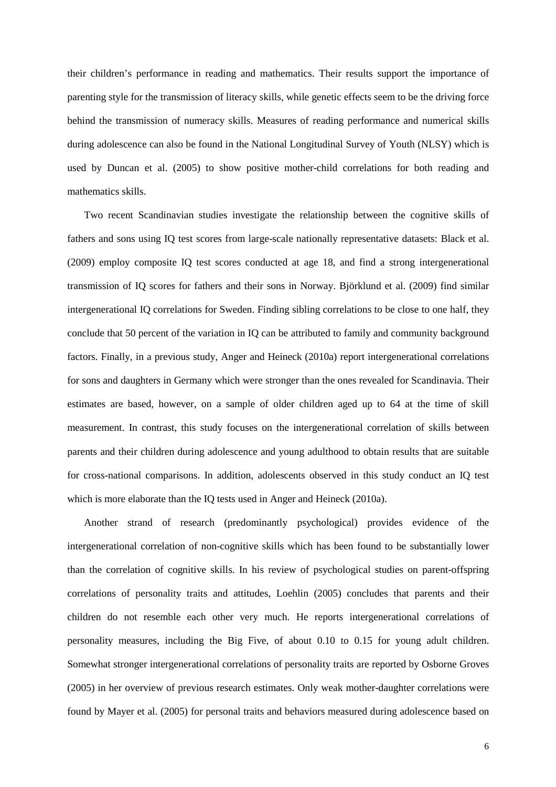their children's performance in reading and mathematics. Their results support the importance of parenting style for the transmission of literacy skills, while genetic effects seem to be the driving force behind the transmission of numeracy skills. Measures of reading performance and numerical skills during adolescence can also be found in the National Longitudinal Survey of Youth (NLSY) which is used by Duncan et al. (2005) to show positive mother-child correlations for both reading and mathematics skills.

Two recent Scandinavian studies investigate the relationship between the cognitive skills of fathers and sons using IQ test scores from large-scale nationally representative datasets: Black et al. (2009) employ composite IQ test scores conducted at age 18, and find a strong intergenerational transmission of IQ scores for fathers and their sons in Norway. Björklund et al. (2009) find similar intergenerational IQ correlations for Sweden. Finding sibling correlations to be close to one half, they conclude that 50 percent of the variation in IQ can be attributed to family and community background factors. Finally, in a previous study, Anger and Heineck (2010a) report intergenerational correlations for sons and daughters in Germany which were stronger than the ones revealed for Scandinavia. Their estimates are based, however, on a sample of older children aged up to 64 at the time of skill measurement. In contrast, this study focuses on the intergenerational correlation of skills between parents and their children during adolescence and young adulthood to obtain results that are suitable for cross-national comparisons. In addition, adolescents observed in this study conduct an IQ test which is more elaborate than the IQ tests used in Anger and Heineck (2010a).

Another strand of research (predominantly psychological) provides evidence of the intergenerational correlation of non-cognitive skills which has been found to be substantially lower than the correlation of cognitive skills. In his review of psychological studies on parent-offspring correlations of personality traits and attitudes, Loehlin (2005) concludes that parents and their children do not resemble each other very much. He reports intergenerational correlations of personality measures, including the Big Five, of about 0.10 to 0.15 for young adult children. Somewhat stronger intergenerational correlations of personality traits are reported by Osborne Groves (2005) in her overview of previous research estimates. Only weak mother-daughter correlations were found by Mayer et al. (2005) for personal traits and behaviors measured during adolescence based on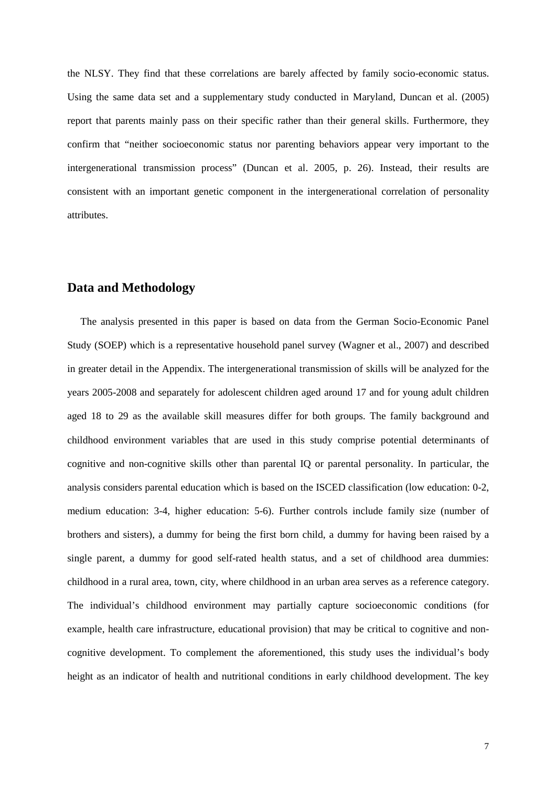the NLSY. They find that these correlations are barely affected by family socio-economic status. Using the same data set and a supplementary study conducted in Maryland, Duncan et al. (2005) report that parents mainly pass on their specific rather than their general skills. Furthermore, they confirm that "neither socioeconomic status nor parenting behaviors appear very important to the intergenerational transmission process" (Duncan et al. 2005, p. 26). Instead, their results are consistent with an important genetic component in the intergenerational correlation of personality attributes.

## **Data and Methodology**

The analysis presented in this paper is based on data from the German Socio-Economic Panel Study (SOEP) which is a representative household panel survey (Wagner et al., 2007) and described in greater detail in the Appendix. The intergenerational transmission of skills will be analyzed for the years 2005-2008 and separately for adolescent children aged around 17 and for young adult children aged 18 to 29 as the available skill measures differ for both groups. The family background and childhood environment variables that are used in this study comprise potential determinants of cognitive and non-cognitive skills other than parental IQ or parental personality. In particular, the analysis considers parental education which is based on the ISCED classification (low education: 0-2, medium education: 3-4, higher education: 5-6). Further controls include family size (number of brothers and sisters), a dummy for being the first born child, a dummy for having been raised by a single parent, a dummy for good self-rated health status, and a set of childhood area dummies: childhood in a rural area, town, city, where childhood in an urban area serves as a reference category. The individual's childhood environment may partially capture socioeconomic conditions (for example, health care infrastructure, educational provision) that may be critical to cognitive and noncognitive development. To complement the aforementioned, this study uses the individual's body height as an indicator of health and nutritional conditions in early childhood development. The key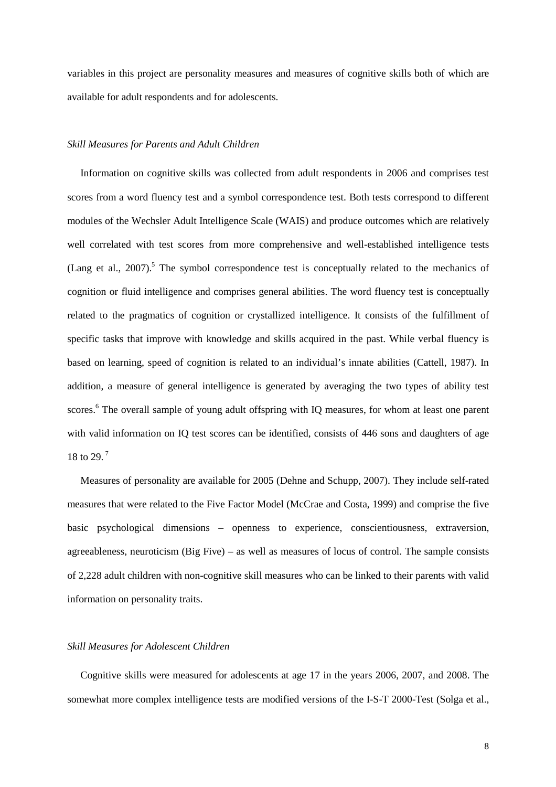variables in this project are personality measures and measures of cognitive skills both of which are available for adult respondents and for adolescents.

#### *Skill Measures for Parents and Adult Children*

Information on cognitive skills was collected from adult respondents in 2006 and comprises test scores from a word fluency test and a symbol correspondence test. Both tests correspond to different modules of the Wechsler Adult Intelligence Scale (WAIS) and produce outcomes which are relatively well correlated with test scores from more comprehensive and well-established intelligence tests (Lang et al.,  $2007$ ).<sup>5</sup> The symbol correspondence test is conceptually related to the mechanics of cognition or fluid intelligence and comprises general abilities. The word fluency test is conceptually related to the pragmatics of cognition or crystallized intelligence. It consists of the fulfillment of specific tasks that improve with knowledge and skills acquired in the past. While verbal fluency is based on learning, speed of cognition is related to an individual's innate abilities (Cattell, 1987). In addition, a measure of general intelligence is generated by averaging the two types of ability test scores.<sup>6</sup> The overall sample of young adult offspring with IQ measures, for whom at least one parent with valid information on IQ test scores can be identified, consists of 446 sons and daughters of age 18 to 29.<sup>7</sup>

Measures of personality are available for 2005 (Dehne and Schupp, 2007). They include self-rated measures that were related to the Five Factor Model (McCrae and Costa, 1999) and comprise the five basic psychological dimensions – openness to experience, conscientiousness, extraversion, agreeableness, neuroticism (Big Five) – as well as measures of locus of control. The sample consists of 2,228 adult children with non-cognitive skill measures who can be linked to their parents with valid information on personality traits.

#### *Skill Measures for Adolescent Children*

Cognitive skills were measured for adolescents at age 17 in the years 2006, 2007, and 2008. The somewhat more complex intelligence tests are modified versions of the I-S-T 2000-Test (Solga et al.,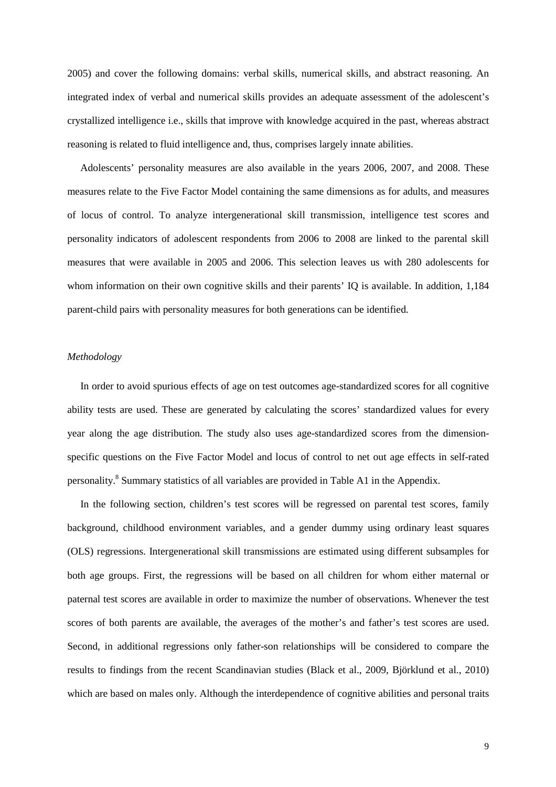2005) and cover the following domains: verbal skills, numerical skills, and abstract reasoning. An integrated index of verbal and numerical skills provides an adequate assessment of the adolescent's crystallized intelligence i.e., skills that improve with knowledge acquired in the past, whereas abstract reasoning is related to fluid intelligence and, thus, comprises largely innate abilities.

Adolescents' personality measures are also available in the years 2006, 2007, and 2008. These measures relate to the Five Factor Model containing the same dimensions as for adults, and measures of locus of control. To analyze intergenerational skill transmission, intelligence test scores and personality indicators of adolescent respondents from 2006 to 2008 are linked to the parental skill measures that were available in 2005 and 2006. This selection leaves us with 280 adolescents for whom information on their own cognitive skills and their parents' IQ is available. In addition, 1,184 parent-child pairs with personality measures for both generations can be identified.

#### *Methodology*

In order to avoid spurious effects of age on test outcomes age-standardized scores for all cognitive ability tests are used. These are generated by calculating the scores' standardized values for every year along the age distribution. The study also uses age-standardized scores from the dimensionspecific questions on the Five Factor Model and locus of control to net out age effects in self-rated personality.<sup>8</sup> Summary statistics of all variables are provided in Table A1 in the Appendix.

In the following section, children's test scores will be regressed on parental test scores, family background, childhood environment variables, and a gender dummy using ordinary least squares (OLS) regressions. Intergenerational skill transmissions are estimated using different subsamples for both age groups. First, the regressions will be based on all children for whom either maternal or paternal test scores are available in order to maximize the number of observations. Whenever the test scores of both parents are available, the averages of the mother's and father's test scores are used. Second, in additional regressions only father-son relationships will be considered to compare the results to findings from the recent Scandinavian studies (Black et al., 2009, Björklund et al., 2010) which are based on males only. Although the interdependence of cognitive abilities and personal traits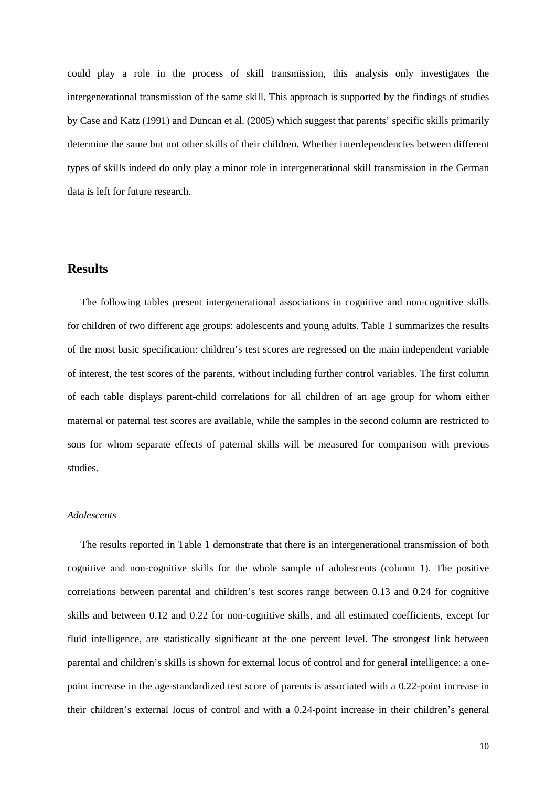could play a role in the process of skill transmission, this analysis only investigates the intergenerational transmission of the same skill. This approach is supported by the findings of studies by Case and Katz (1991) and Duncan et al. (2005) which suggest that parents' specific skills primarily determine the same but not other skills of their children. Whether interdependencies between different types of skills indeed do only play a minor role in intergenerational skill transmission in the German data is left for future research.

### **Results**

The following tables present intergenerational associations in cognitive and non-cognitive skills for children of two different age groups: adolescents and young adults. Table 1 summarizes the results of the most basic specification: children's test scores are regressed on the main independent variable of interest, the test scores of the parents, without including further control variables. The first column of each table displays parent-child correlations for all children of an age group for whom either maternal or paternal test scores are available, while the samples in the second column are restricted to sons for whom separate effects of paternal skills will be measured for comparison with previous studies.

#### *Adolescents*

The results reported in Table 1 demonstrate that there is an intergenerational transmission of both cognitive and non-cognitive skills for the whole sample of adolescents (column 1). The positive correlations between parental and children's test scores range between 0.13 and 0.24 for cognitive skills and between 0.12 and 0.22 for non-cognitive skills, and all estimated coefficients, except for fluid intelligence, are statistically significant at the one percent level. The strongest link between parental and children's skills is shown for external locus of control and for general intelligence: a onepoint increase in the age-standardized test score of parents is associated with a 0.22-point increase in their children's external locus of control and with a 0.24-point increase in their children's general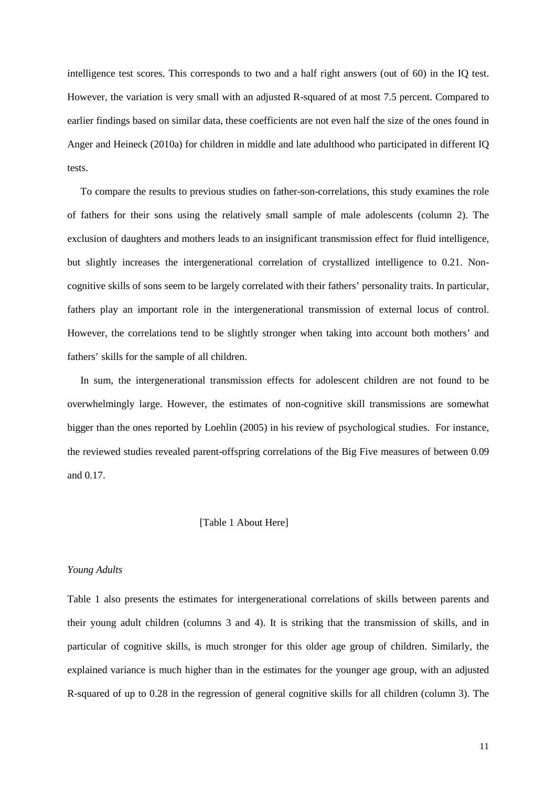intelligence test scores. This corresponds to two and a half right answers (out of 60) in the IQ test. However, the variation is very small with an adjusted R-squared of at most 7.5 percent. Compared to earlier findings based on similar data, these coefficients are not even half the size of the ones found in Anger and Heineck (2010a) for children in middle and late adulthood who participated in different IQ tests.

To compare the results to previous studies on father-son-correlations, this study examines the role of fathers for their sons using the relatively small sample of male adolescents (column 2). The exclusion of daughters and mothers leads to an insignificant transmission effect for fluid intelligence, but slightly increases the intergenerational correlation of crystallized intelligence to 0.21. Noncognitive skills of sons seem to be largely correlated with their fathers' personality traits. In particular, fathers play an important role in the intergenerational transmission of external locus of control. However, the correlations tend to be slightly stronger when taking into account both mothers' and fathers' skills for the sample of all children.

In sum, the intergenerational transmission effects for adolescent children are not found to be overwhelmingly large. However, the estimates of non-cognitive skill transmissions are somewhat bigger than the ones reported by Loehlin (2005) in his review of psychological studies. For instance, the reviewed studies revealed parent-offspring correlations of the Big Five measures of between 0.09 and 0.17.

#### [Table 1 About Here]

#### *Young Adults*

Table 1 also presents the estimates for intergenerational correlations of skills between parents and their young adult children (columns 3 and 4). It is striking that the transmission of skills, and in particular of cognitive skills, is much stronger for this older age group of children. Similarly, the explained variance is much higher than in the estimates for the younger age group, with an adjusted R-squared of up to 0.28 in the regression of general cognitive skills for all children (column 3). The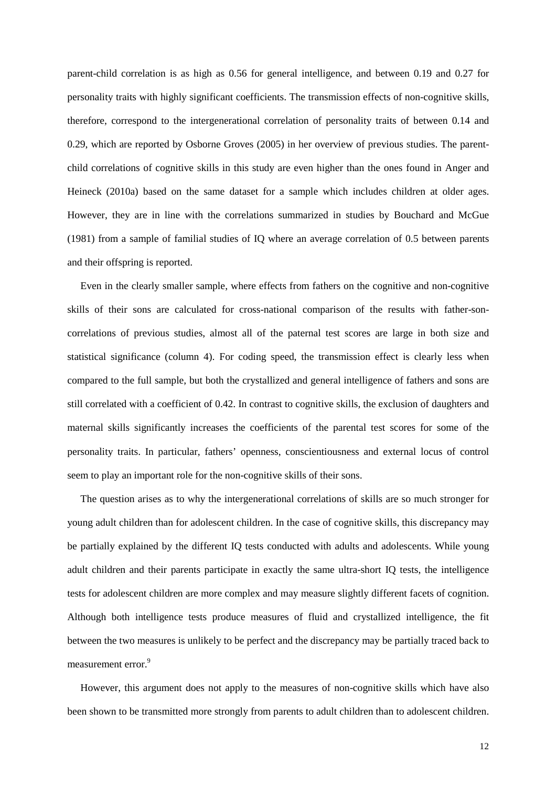parent-child correlation is as high as 0.56 for general intelligence, and between 0.19 and 0.27 for personality traits with highly significant coefficients. The transmission effects of non-cognitive skills, therefore, correspond to the intergenerational correlation of personality traits of between 0.14 and 0.29, which are reported by Osborne Groves (2005) in her overview of previous studies. The parentchild correlations of cognitive skills in this study are even higher than the ones found in Anger and Heineck (2010a) based on the same dataset for a sample which includes children at older ages. However, they are in line with the correlations summarized in studies by Bouchard and McGue (1981) from a sample of familial studies of IQ where an average correlation of 0.5 between parents and their offspring is reported.

Even in the clearly smaller sample, where effects from fathers on the cognitive and non-cognitive skills of their sons are calculated for cross-national comparison of the results with father-soncorrelations of previous studies, almost all of the paternal test scores are large in both size and statistical significance (column 4). For coding speed, the transmission effect is clearly less when compared to the full sample, but both the crystallized and general intelligence of fathers and sons are still correlated with a coefficient of 0.42. In contrast to cognitive skills, the exclusion of daughters and maternal skills significantly increases the coefficients of the parental test scores for some of the personality traits. In particular, fathers' openness, conscientiousness and external locus of control seem to play an important role for the non-cognitive skills of their sons.

The question arises as to why the intergenerational correlations of skills are so much stronger for young adult children than for adolescent children. In the case of cognitive skills, this discrepancy may be partially explained by the different IQ tests conducted with adults and adolescents. While young adult children and their parents participate in exactly the same ultra-short IQ tests, the intelligence tests for adolescent children are more complex and may measure slightly different facets of cognition. Although both intelligence tests produce measures of fluid and crystallized intelligence, the fit between the two measures is unlikely to be perfect and the discrepancy may be partially traced back to measurement error.<sup>9</sup>

However, this argument does not apply to the measures of non-cognitive skills which have also been shown to be transmitted more strongly from parents to adult children than to adolescent children.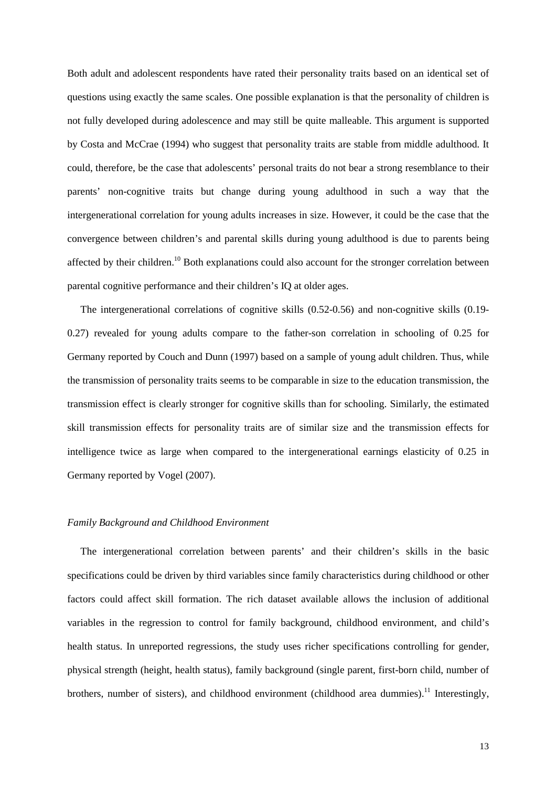Both adult and adolescent respondents have rated their personality traits based on an identical set of questions using exactly the same scales. One possible explanation is that the personality of children is not fully developed during adolescence and may still be quite malleable. This argument is supported by Costa and McCrae (1994) who suggest that personality traits are stable from middle adulthood. It could, therefore, be the case that adolescents' personal traits do not bear a strong resemblance to their parents' non-cognitive traits but change during young adulthood in such a way that the intergenerational correlation for young adults increases in size. However, it could be the case that the convergence between children's and parental skills during young adulthood is due to parents being affected by their children.<sup>10</sup> Both explanations could also account for the stronger correlation between parental cognitive performance and their children's IQ at older ages.

The intergenerational correlations of cognitive skills (0.52-0.56) and non-cognitive skills (0.19- 0.27) revealed for young adults compare to the father-son correlation in schooling of 0.25 for Germany reported by Couch and Dunn (1997) based on a sample of young adult children. Thus, while the transmission of personality traits seems to be comparable in size to the education transmission, the transmission effect is clearly stronger for cognitive skills than for schooling. Similarly, the estimated skill transmission effects for personality traits are of similar size and the transmission effects for intelligence twice as large when compared to the intergenerational earnings elasticity of 0.25 in Germany reported by Vogel (2007).

#### *Family Background and Childhood Environment*

The intergenerational correlation between parents' and their children's skills in the basic specifications could be driven by third variables since family characteristics during childhood or other factors could affect skill formation. The rich dataset available allows the inclusion of additional variables in the regression to control for family background, childhood environment, and child's health status. In unreported regressions, the study uses richer specifications controlling for gender, physical strength (height, health status), family background (single parent, first-born child, number of brothers, number of sisters), and childhood environment (childhood area dummies).<sup>11</sup> Interestingly,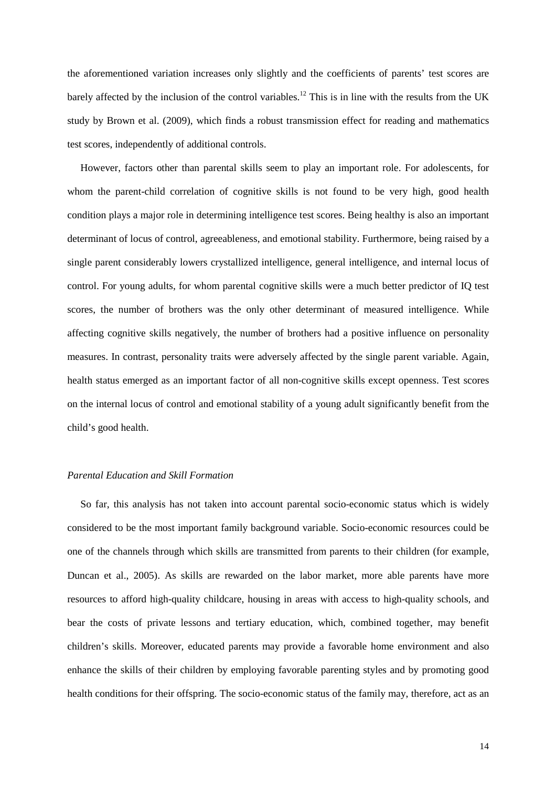the aforementioned variation increases only slightly and the coefficients of parents' test scores are barely affected by the inclusion of the control variables.<sup>12</sup> This is in line with the results from the UK study by Brown et al. (2009), which finds a robust transmission effect for reading and mathematics test scores, independently of additional controls.

However, factors other than parental skills seem to play an important role. For adolescents, for whom the parent-child correlation of cognitive skills is not found to be very high, good health condition plays a major role in determining intelligence test scores. Being healthy is also an important determinant of locus of control, agreeableness, and emotional stability. Furthermore, being raised by a single parent considerably lowers crystallized intelligence, general intelligence, and internal locus of control. For young adults, for whom parental cognitive skills were a much better predictor of IQ test scores, the number of brothers was the only other determinant of measured intelligence. While affecting cognitive skills negatively, the number of brothers had a positive influence on personality measures. In contrast, personality traits were adversely affected by the single parent variable. Again, health status emerged as an important factor of all non-cognitive skills except openness. Test scores on the internal locus of control and emotional stability of a young adult significantly benefit from the child's good health.

#### *Parental Education and Skill Formation*

So far, this analysis has not taken into account parental socio-economic status which is widely considered to be the most important family background variable. Socio-economic resources could be one of the channels through which skills are transmitted from parents to their children (for example, Duncan et al., 2005). As skills are rewarded on the labor market, more able parents have more resources to afford high-quality childcare, housing in areas with access to high-quality schools, and bear the costs of private lessons and tertiary education, which, combined together, may benefit children's skills. Moreover, educated parents may provide a favorable home environment and also enhance the skills of their children by employing favorable parenting styles and by promoting good health conditions for their offspring. The socio-economic status of the family may, therefore, act as an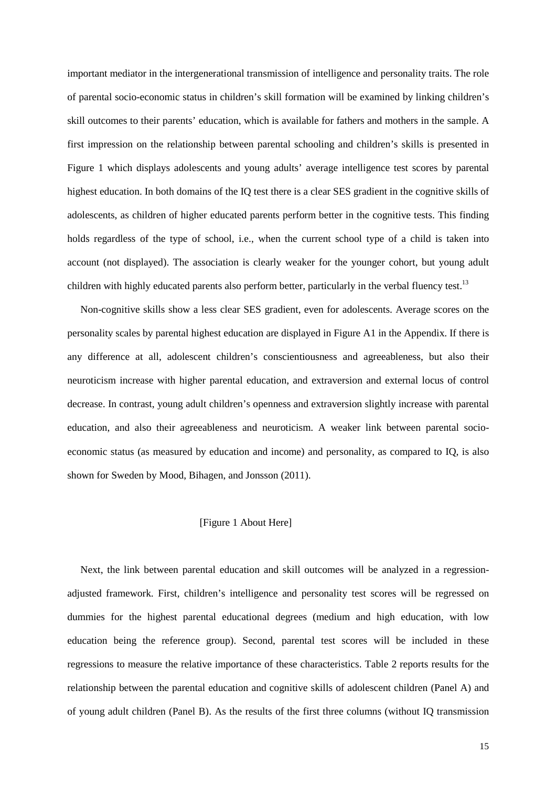important mediator in the intergenerational transmission of intelligence and personality traits. The role of parental socio-economic status in children's skill formation will be examined by linking children's skill outcomes to their parents' education, which is available for fathers and mothers in the sample. A first impression on the relationship between parental schooling and children's skills is presented in Figure 1 which displays adolescents and young adults' average intelligence test scores by parental highest education. In both domains of the IQ test there is a clear SES gradient in the cognitive skills of adolescents, as children of higher educated parents perform better in the cognitive tests. This finding holds regardless of the type of school, i.e., when the current school type of a child is taken into account (not displayed). The association is clearly weaker for the younger cohort, but young adult children with highly educated parents also perform better, particularly in the verbal fluency test.<sup>13</sup>

Non-cognitive skills show a less clear SES gradient, even for adolescents. Average scores on the personality scales by parental highest education are displayed in Figure A1 in the Appendix. If there is any difference at all, adolescent children's conscientiousness and agreeableness, but also their neuroticism increase with higher parental education, and extraversion and external locus of control decrease. In contrast, young adult children's openness and extraversion slightly increase with parental education, and also their agreeableness and neuroticism. A weaker link between parental socioeconomic status (as measured by education and income) and personality, as compared to IQ, is also shown for Sweden by Mood, Bihagen, and Jonsson (2011).

#### [Figure 1 About Here]

Next, the link between parental education and skill outcomes will be analyzed in a regressionadjusted framework. First, children's intelligence and personality test scores will be regressed on dummies for the highest parental educational degrees (medium and high education, with low education being the reference group). Second, parental test scores will be included in these regressions to measure the relative importance of these characteristics. Table 2 reports results for the relationship between the parental education and cognitive skills of adolescent children (Panel A) and of young adult children (Panel B). As the results of the first three columns (without IQ transmission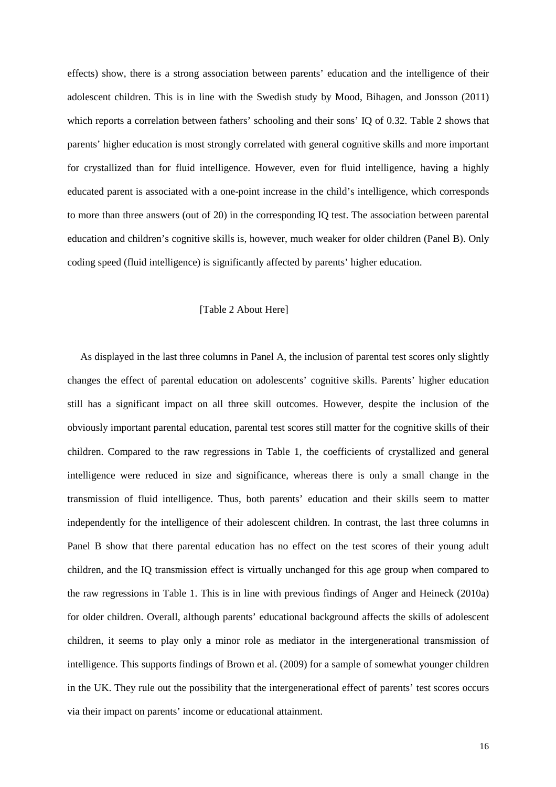effects) show, there is a strong association between parents' education and the intelligence of their adolescent children. This is in line with the Swedish study by Mood, Bihagen, and Jonsson (2011) which reports a correlation between fathers' schooling and their sons' IQ of 0.32. Table 2 shows that parents' higher education is most strongly correlated with general cognitive skills and more important for crystallized than for fluid intelligence. However, even for fluid intelligence, having a highly educated parent is associated with a one-point increase in the child's intelligence, which corresponds to more than three answers (out of 20) in the corresponding IQ test. The association between parental education and children's cognitive skills is, however, much weaker for older children (Panel B). Only coding speed (fluid intelligence) is significantly affected by parents' higher education.

#### [Table 2 About Here]

As displayed in the last three columns in Panel A, the inclusion of parental test scores only slightly changes the effect of parental education on adolescents' cognitive skills. Parents' higher education still has a significant impact on all three skill outcomes. However, despite the inclusion of the obviously important parental education, parental test scores still matter for the cognitive skills of their children. Compared to the raw regressions in Table 1, the coefficients of crystallized and general intelligence were reduced in size and significance, whereas there is only a small change in the transmission of fluid intelligence. Thus, both parents' education and their skills seem to matter independently for the intelligence of their adolescent children. In contrast, the last three columns in Panel B show that there parental education has no effect on the test scores of their young adult children, and the IQ transmission effect is virtually unchanged for this age group when compared to the raw regressions in Table 1. This is in line with previous findings of Anger and Heineck (2010a) for older children. Overall, although parents' educational background affects the skills of adolescent children, it seems to play only a minor role as mediator in the intergenerational transmission of intelligence. This supports findings of Brown et al. (2009) for a sample of somewhat younger children in the UK. They rule out the possibility that the intergenerational effect of parents' test scores occurs via their impact on parents' income or educational attainment.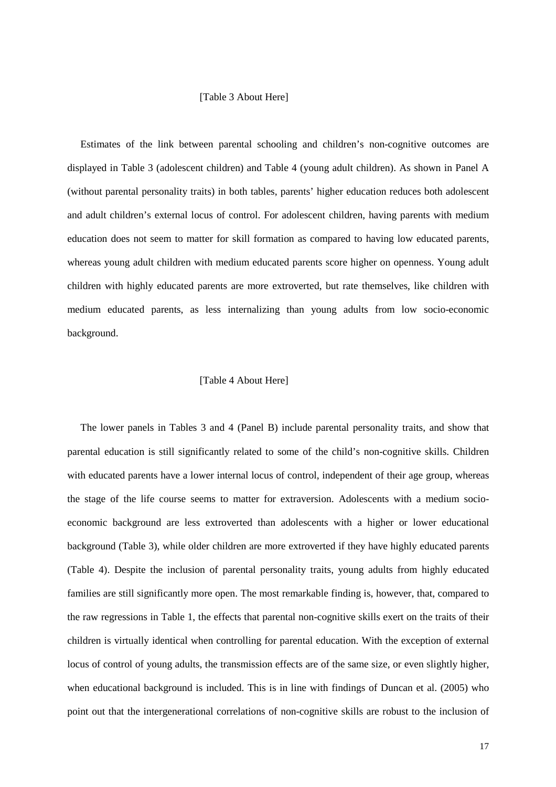#### [Table 3 About Here]

Estimates of the link between parental schooling and children's non-cognitive outcomes are displayed in Table 3 (adolescent children) and Table 4 (young adult children). As shown in Panel A (without parental personality traits) in both tables, parents' higher education reduces both adolescent and adult children's external locus of control. For adolescent children, having parents with medium education does not seem to matter for skill formation as compared to having low educated parents, whereas young adult children with medium educated parents score higher on openness. Young adult children with highly educated parents are more extroverted, but rate themselves, like children with medium educated parents, as less internalizing than young adults from low socio-economic background.

#### [Table 4 About Here]

The lower panels in Tables 3 and 4 (Panel B) include parental personality traits, and show that parental education is still significantly related to some of the child's non-cognitive skills. Children with educated parents have a lower internal locus of control, independent of their age group, whereas the stage of the life course seems to matter for extraversion. Adolescents with a medium socioeconomic background are less extroverted than adolescents with a higher or lower educational background (Table 3), while older children are more extroverted if they have highly educated parents (Table 4). Despite the inclusion of parental personality traits, young adults from highly educated families are still significantly more open. The most remarkable finding is, however, that, compared to the raw regressions in Table 1, the effects that parental non-cognitive skills exert on the traits of their children is virtually identical when controlling for parental education. With the exception of external locus of control of young adults, the transmission effects are of the same size, or even slightly higher, when educational background is included. This is in line with findings of Duncan et al. (2005) who point out that the intergenerational correlations of non-cognitive skills are robust to the inclusion of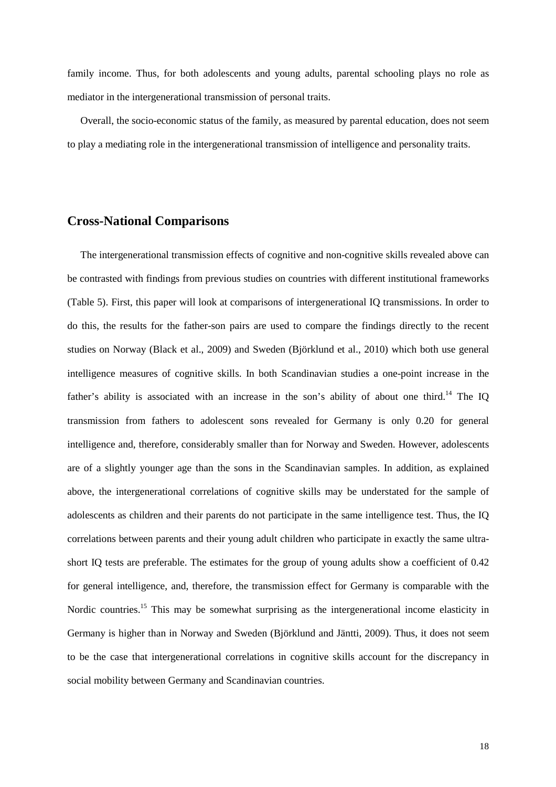family income. Thus, for both adolescents and young adults, parental schooling plays no role as mediator in the intergenerational transmission of personal traits.

Overall, the socio-economic status of the family, as measured by parental education, does not seem to play a mediating role in the intergenerational transmission of intelligence and personality traits.

# **Cross-National Comparisons**

The intergenerational transmission effects of cognitive and non-cognitive skills revealed above can be contrasted with findings from previous studies on countries with different institutional frameworks (Table 5). First, this paper will look at comparisons of intergenerational IQ transmissions. In order to do this, the results for the father-son pairs are used to compare the findings directly to the recent studies on Norway (Black et al., 2009) and Sweden (Björklund et al., 2010) which both use general intelligence measures of cognitive skills. In both Scandinavian studies a one-point increase in the father's ability is associated with an increase in the son's ability of about one third.<sup>14</sup> The IO transmission from fathers to adolescent sons revealed for Germany is only 0.20 for general intelligence and, therefore, considerably smaller than for Norway and Sweden. However, adolescents are of a slightly younger age than the sons in the Scandinavian samples. In addition, as explained above, the intergenerational correlations of cognitive skills may be understated for the sample of adolescents as children and their parents do not participate in the same intelligence test. Thus, the IQ correlations between parents and their young adult children who participate in exactly the same ultrashort IQ tests are preferable. The estimates for the group of young adults show a coefficient of 0.42 for general intelligence, and, therefore, the transmission effect for Germany is comparable with the Nordic countries.<sup>15</sup> This may be somewhat surprising as the intergenerational income elasticity in Germany is higher than in Norway and Sweden (Björklund and Jäntti, 2009). Thus, it does not seem to be the case that intergenerational correlations in cognitive skills account for the discrepancy in social mobility between Germany and Scandinavian countries.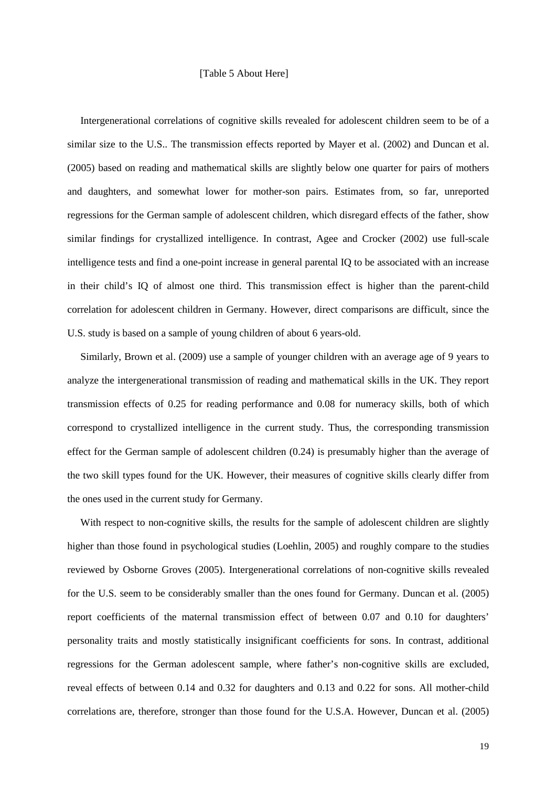#### [Table 5 About Here]

Intergenerational correlations of cognitive skills revealed for adolescent children seem to be of a similar size to the U.S.. The transmission effects reported by Mayer et al. (2002) and Duncan et al. (2005) based on reading and mathematical skills are slightly below one quarter for pairs of mothers and daughters, and somewhat lower for mother-son pairs. Estimates from, so far, unreported regressions for the German sample of adolescent children, which disregard effects of the father, show similar findings for crystallized intelligence. In contrast, Agee and Crocker (2002) use full-scale intelligence tests and find a one-point increase in general parental IQ to be associated with an increase in their child's IQ of almost one third. This transmission effect is higher than the parent-child correlation for adolescent children in Germany. However, direct comparisons are difficult, since the U.S. study is based on a sample of young children of about 6 years-old.

Similarly, Brown et al. (2009) use a sample of younger children with an average age of 9 years to analyze the intergenerational transmission of reading and mathematical skills in the UK. They report transmission effects of 0.25 for reading performance and 0.08 for numeracy skills, both of which correspond to crystallized intelligence in the current study. Thus, the corresponding transmission effect for the German sample of adolescent children (0.24) is presumably higher than the average of the two skill types found for the UK. However, their measures of cognitive skills clearly differ from the ones used in the current study for Germany.

With respect to non-cognitive skills, the results for the sample of adolescent children are slightly higher than those found in psychological studies (Loehlin, 2005) and roughly compare to the studies reviewed by Osborne Groves (2005). Intergenerational correlations of non-cognitive skills revealed for the U.S. seem to be considerably smaller than the ones found for Germany. Duncan et al. (2005) report coefficients of the maternal transmission effect of between 0.07 and 0.10 for daughters' personality traits and mostly statistically insignificant coefficients for sons. In contrast, additional regressions for the German adolescent sample, where father's non-cognitive skills are excluded, reveal effects of between 0.14 and 0.32 for daughters and 0.13 and 0.22 for sons. All mother-child correlations are, therefore, stronger than those found for the U.S.A. However, Duncan et al. (2005)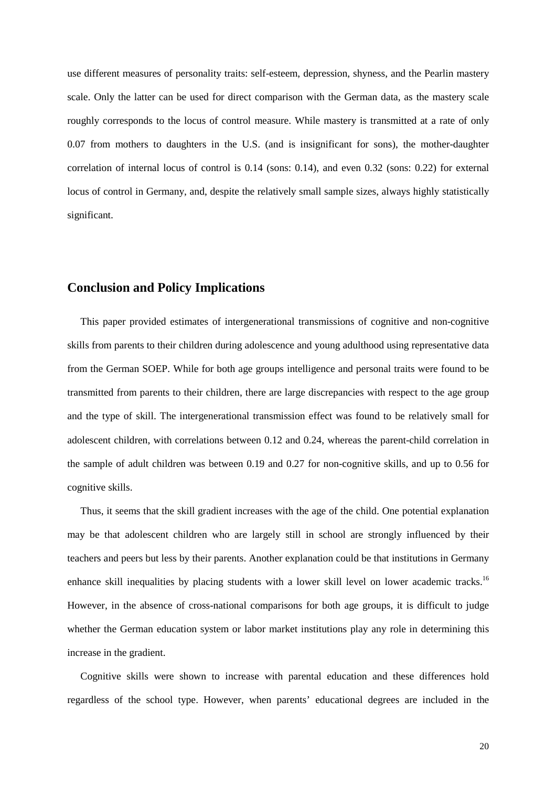use different measures of personality traits: self-esteem, depression, shyness, and the Pearlin mastery scale. Only the latter can be used for direct comparison with the German data, as the mastery scale roughly corresponds to the locus of control measure. While mastery is transmitted at a rate of only 0.07 from mothers to daughters in the U.S. (and is insignificant for sons), the mother-daughter correlation of internal locus of control is 0.14 (sons: 0.14), and even 0.32 (sons: 0.22) for external locus of control in Germany, and, despite the relatively small sample sizes, always highly statistically significant.

#### **Conclusion and Policy Implications**

This paper provided estimates of intergenerational transmissions of cognitive and non-cognitive skills from parents to their children during adolescence and young adulthood using representative data from the German SOEP. While for both age groups intelligence and personal traits were found to be transmitted from parents to their children, there are large discrepancies with respect to the age group and the type of skill. The intergenerational transmission effect was found to be relatively small for adolescent children, with correlations between 0.12 and 0.24, whereas the parent-child correlation in the sample of adult children was between 0.19 and 0.27 for non-cognitive skills, and up to 0.56 for cognitive skills.

Thus, it seems that the skill gradient increases with the age of the child. One potential explanation may be that adolescent children who are largely still in school are strongly influenced by their teachers and peers but less by their parents. Another explanation could be that institutions in Germany enhance skill inequalities by placing students with a lower skill level on lower academic tracks.<sup>16</sup> However, in the absence of cross-national comparisons for both age groups, it is difficult to judge whether the German education system or labor market institutions play any role in determining this increase in the gradient.

Cognitive skills were shown to increase with parental education and these differences hold regardless of the school type. However, when parents' educational degrees are included in the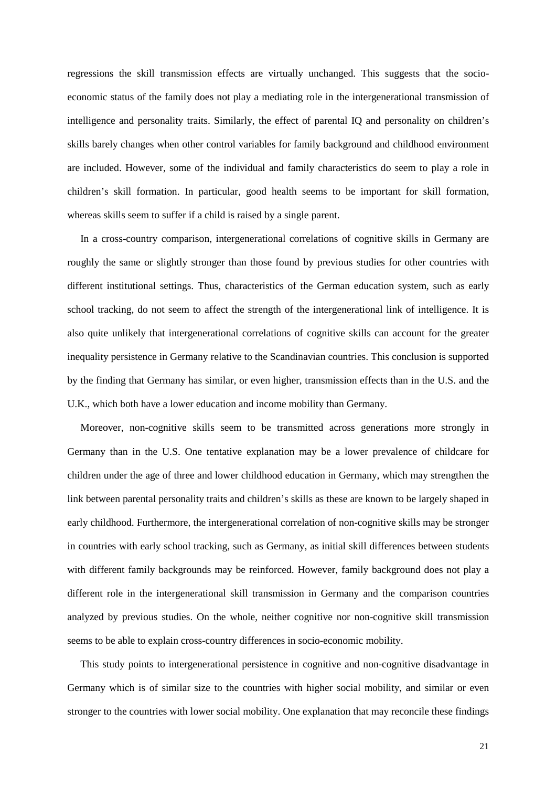regressions the skill transmission effects are virtually unchanged. This suggests that the socioeconomic status of the family does not play a mediating role in the intergenerational transmission of intelligence and personality traits. Similarly, the effect of parental IQ and personality on children's skills barely changes when other control variables for family background and childhood environment are included. However, some of the individual and family characteristics do seem to play a role in children's skill formation. In particular, good health seems to be important for skill formation, whereas skills seem to suffer if a child is raised by a single parent.

In a cross-country comparison, intergenerational correlations of cognitive skills in Germany are roughly the same or slightly stronger than those found by previous studies for other countries with different institutional settings. Thus, characteristics of the German education system, such as early school tracking, do not seem to affect the strength of the intergenerational link of intelligence. It is also quite unlikely that intergenerational correlations of cognitive skills can account for the greater inequality persistence in Germany relative to the Scandinavian countries. This conclusion is supported by the finding that Germany has similar, or even higher, transmission effects than in the U.S. and the U.K., which both have a lower education and income mobility than Germany.

Moreover, non-cognitive skills seem to be transmitted across generations more strongly in Germany than in the U.S. One tentative explanation may be a lower prevalence of childcare for children under the age of three and lower childhood education in Germany, which may strengthen the link between parental personality traits and children's skills as these are known to be largely shaped in early childhood. Furthermore, the intergenerational correlation of non-cognitive skills may be stronger in countries with early school tracking, such as Germany, as initial skill differences between students with different family backgrounds may be reinforced. However, family background does not play a different role in the intergenerational skill transmission in Germany and the comparison countries analyzed by previous studies. On the whole, neither cognitive nor non-cognitive skill transmission seems to be able to explain cross-country differences in socio-economic mobility.

This study points to intergenerational persistence in cognitive and non-cognitive disadvantage in Germany which is of similar size to the countries with higher social mobility, and similar or even stronger to the countries with lower social mobility. One explanation that may reconcile these findings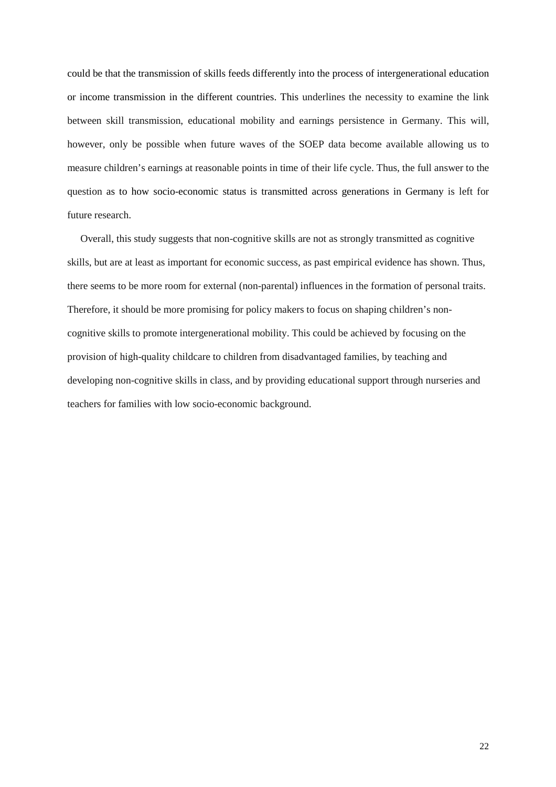could be that the transmission of skills feeds differently into the process of intergenerational education or income transmission in the different countries. This underlines the necessity to examine the link between skill transmission, educational mobility and earnings persistence in Germany. This will, however, only be possible when future waves of the SOEP data become available allowing us to measure children's earnings at reasonable points in time of their life cycle. Thus, the full answer to the question as to how socio-economic status is transmitted across generations in Germany is left for future research.

Overall, this study suggests that non-cognitive skills are not as strongly transmitted as cognitive skills, but are at least as important for economic success, as past empirical evidence has shown. Thus, there seems to be more room for external (non-parental) influences in the formation of personal traits. Therefore, it should be more promising for policy makers to focus on shaping children's noncognitive skills to promote intergenerational mobility. This could be achieved by focusing on the provision of high-quality childcare to children from disadvantaged families, by teaching and developing non-cognitive skills in class, and by providing educational support through nurseries and teachers for families with low socio-economic background.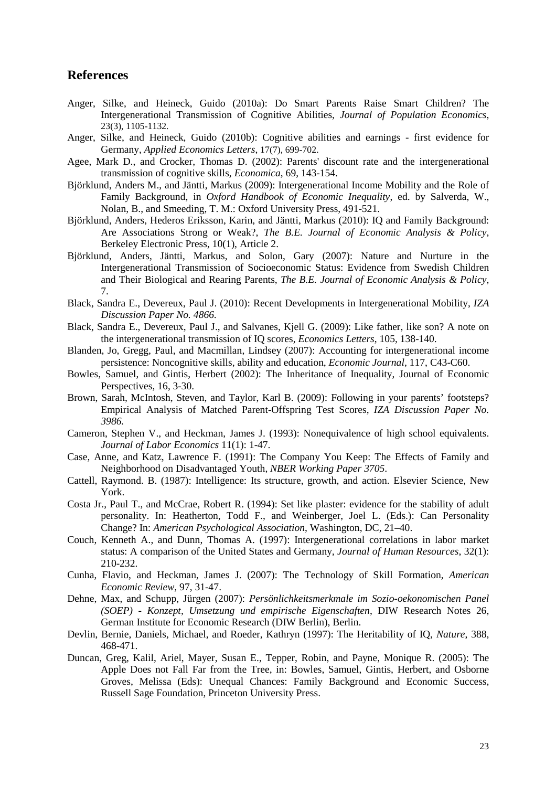# **References**

- Anger, Silke, and Heineck, Guido (2010a): Do Smart Parents Raise Smart Children? The Intergenerational Transmission of Cognitive Abilities, *Journal of Population Economics*, 23(3), 1105-1132.
- Anger, Silke, and Heineck, Guido (2010b): Cognitive abilities and earnings first evidence for Germany, *Applied Economics Letters*, 17(7), 699-702.
- Agee, Mark D., and Crocker, Thomas D. (2002): Parents' discount rate and the intergenerational transmission of cognitive skills, *Economica*, 69, 143-154.
- Björklund, Anders M., and Jäntti, Markus (2009): Intergenerational Income Mobility and the Role of Family Background, in *Oxford Handbook of Economic Inequality*, ed. by Salverda, W., Nolan, B., and Smeeding, T. M.: Oxford University Press, 491-521.
- Björklund, Anders, Hederos Eriksson, Karin, and Jäntti, Markus (2010): IQ and Family Background: Are Associations Strong or Weak?, *The B.E. Journal of Economic Analysis & Policy*, Berkeley Electronic Press, 10(1), Article 2.
- Björklund, Anders, Jäntti, Markus, and Solon, Gary (2007): Nature and Nurture in the Intergenerational Transmission of Socioeconomic Status: Evidence from Swedish Children and Their Biological and Rearing Parents, *The B.E. Journal of Economic Analysis & Policy*, 7.
- Black, Sandra E., Devereux, Paul J. (2010): Recent Developments in Intergenerational Mobility, *IZA Discussion Paper No. 4866*.
- Black, Sandra E., Devereux, Paul J., and Salvanes, Kjell G. (2009): Like father, like son? A note on the intergenerational transmission of IQ scores, *Economics Letters*, 105, 138-140.
- Blanden, Jo, Gregg, Paul, and Macmillan, Lindsey (2007): Accounting for intergenerational income persistence: Noncognitive skills, ability and education, *Economic Journal*, 117, C43-C60.
- Bowles, Samuel, and Gintis, Herbert (2002): The Inheritance of Inequality, Journal of Economic Perspectives, 16, 3-30.
- Brown, Sarah, McIntosh, Steven, and Taylor, Karl B. (2009): Following in your parents' footsteps? Empirical Analysis of Matched Parent-Offspring Test Scores, *IZA Discussion Paper No. 3986.*
- Cameron, Stephen V., and Heckman, James J. (1993): Nonequivalence of high school equivalents. *Journal of Labor Economics* 11(1): 1-47.
- Case, Anne, and Katz, Lawrence F. (1991): The Company You Keep: The Effects of Family and Neighborhood on Disadvantaged Youth, *NBER Working Paper 3705*.
- Cattell, Raymond. B. (1987): Intelligence: Its structure, growth, and action. Elsevier Science, New York.
- Costa Jr., Paul T., and McCrae, Robert R. (1994): Set like plaster: evidence for the stability of adult personality. In: Heatherton, Todd F., and Weinberger, Joel L. (Eds.): Can Personality Change? In: *American Psychological Association*, Washington, DC, 21–40.
- Couch, Kenneth A., and Dunn, Thomas A. (1997): Intergenerational correlations in labor market status: A comparison of the United States and Germany*, Journal of Human Resources*, 32(1): 210-232.
- Cunha, Flavio, and Heckman, James J. (2007): The Technology of Skill Formation, *American Economic Review*, 97, 31-47.
- Dehne, Max, and Schupp, Jürgen (2007): *Persönlichkeitsmerkmale im Sozio-oekonomischen Panel (SOEP) - Konzept, Umsetzung und empirische Eigenschaften*, DIW Research Notes 26, German Institute for Economic Research (DIW Berlin), Berlin.
- Devlin, Bernie, Daniels, Michael, and Roeder, Kathryn (1997): The Heritability of IQ, *Nature*, 388, 468-471.
- Duncan, Greg, Kalil, Ariel, Mayer, Susan E., Tepper, Robin, and Payne, Monique R. (2005): The Apple Does not Fall Far from the Tree, in: Bowles, Samuel, Gintis, Herbert, and Osborne Groves, Melissa (Eds): Unequal Chances: Family Background and Economic Success, Russell Sage Foundation, Princeton University Press.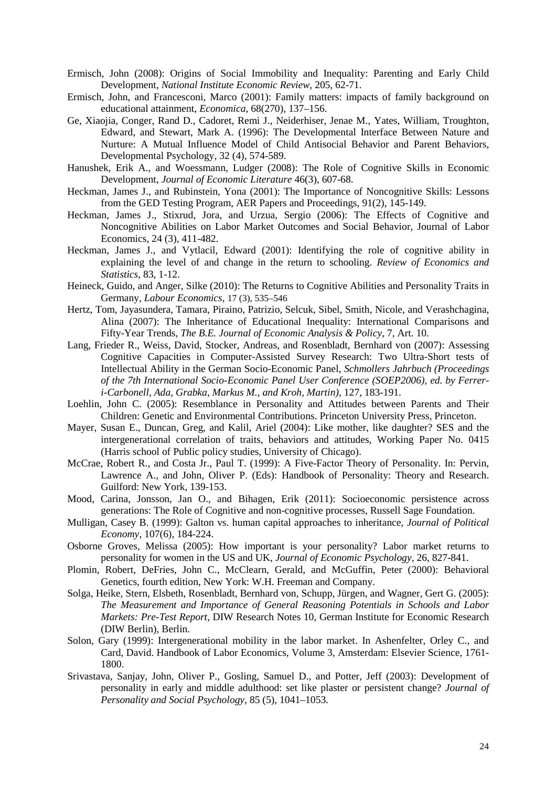- Ermisch, John (2008): Origins of Social Immobility and Inequality: Parenting and Early Child Development, *National Institute Economic Review*, 205, 62-71.
- Ermisch, John, and Francesconi, Marco (2001): Family matters: impacts of family background on educational attainment, *Economica*, 68(270), 137–156.
- Ge, Xiaojia, Conger, Rand D., Cadoret, Remi J., Neiderhiser, Jenae M., Yates, William, Troughton, Edward, and Stewart, Mark A. (1996): The Developmental Interface Between Nature and Nurture: A Mutual Influence Model of Child Antisocial Behavior and Parent Behaviors, Developmental Psychology, 32 (4), 574-589.
- Hanushek, Erik A., and Woessmann, Ludger (2008): The Role of Cognitive Skills in Economic Development, *Journal of Economic Literature* 46(3), 607-68.
- Heckman, James J., and Rubinstein, Yona (2001): The Importance of Noncognitive Skills: Lessons from the GED Testing Program, AER Papers and Proceedings, 91(2), 145-149.
- Heckman, James J., Stixrud, Jora, and Urzua, Sergio (2006): The Effects of Cognitive and Noncognitive Abilities on Labor Market Outcomes and Social Behavior, Journal of Labor Economics, 24 (3), 411-482.
- Heckman, James J., and Vytlacil, Edward (2001): Identifying the role of cognitive ability in explaining the level of and change in the return to schooling. *Review of Economics and Statistics*, 83, 1-12.
- Heineck, Guido, and Anger, Silke (2010): The Returns to Cognitive Abilities and Personality Traits in Germany, *Labour Economics*, 17 (3), 535–546
- Hertz, Tom, Jayasundera, Tamara, Piraino, Patrizio, Selcuk, Sibel, Smith, Nicole, and Verashchagina, Alina (2007): The Inheritance of Educational Inequality: International Comparisons and Fifty-Year Trends, *The B.E. Journal of Economic Analysis & Policy*, 7, Art. 10.
- Lang, Frieder R., Weiss, David, Stocker, Andreas, and Rosenbladt, Bernhard von (2007): Assessing Cognitive Capacities in Computer-Assisted Survey Research: Two Ultra-Short tests of Intellectual Ability in the German Socio-Economic Panel, *Schmollers Jahrbuch (Proceedings of the 7th International Socio-Economic Panel User Conference (SOEP2006), ed. by Ferreri-Carbonell, Ada, Grabka, Markus M., and Kroh, Martin)*, 127, 183-191.
- Loehlin, John C. (2005): Resemblance in Personality and Attitudes between Parents and Their Children: Genetic and Environmental Contributions. Princeton University Press, Princeton.
- Mayer, Susan E., Duncan, Greg, and Kalil, Ariel (2004): Like mother, like daughter? SES and the intergenerational correlation of traits, behaviors and attitudes, Working Paper No. 0415 (Harris school of Public policy studies, University of Chicago).
- McCrae, Robert R., and Costa Jr., Paul T. (1999): A Five-Factor Theory of Personality. In: Pervin, Lawrence A., and John, Oliver P. (Eds): Handbook of Personality: Theory and Research. Guilford: New York, 139-153.
- Mood, Carina, Jonsson, Jan O., and Bihagen, Erik (2011): Socioeconomic persistence across generations: The Role of Cognitive and non-cognitive processes, Russell Sage Foundation.
- Mulligan, Casey B. (1999): Galton vs. human capital approaches to inheritance, *Journal of Political Economy*, 107(6), 184-224.
- Osborne Groves, Melissa (2005): How important is your personality? Labor market returns to personality for women in the US and UK, *Journal of Economic Psychology*, 26, 827-841.
- Plomin, Robert, DeFries, John C., McClearn, Gerald, and McGuffin, Peter (2000): Behavioral Genetics, fourth edition, New York: W.H. Freeman and Company.
- Solga, Heike, Stern, Elsbeth, Rosenbladt, Bernhard von, Schupp, Jürgen, and Wagner, Gert G. (2005): *The Measurement and Importance of General Reasoning Potentials in Schools and Labor Markets: Pre-Test Report*, DIW Research Notes 10, German Institute for Economic Research (DIW Berlin), Berlin.
- Solon, Gary (1999): Intergenerational mobility in the labor market. In Ashenfelter, Orley C., and Card, David. Handbook of Labor Economics, Volume 3, Amsterdam: Elsevier Science, 1761- 1800.
- Srivastava, Sanjay, John, Oliver P., Gosling, Samuel D., and Potter, Jeff (2003): Development of personality in early and middle adulthood: set like plaster or persistent change? *Journal of Personality and Social Psychology*, 85 (5), 1041–1053.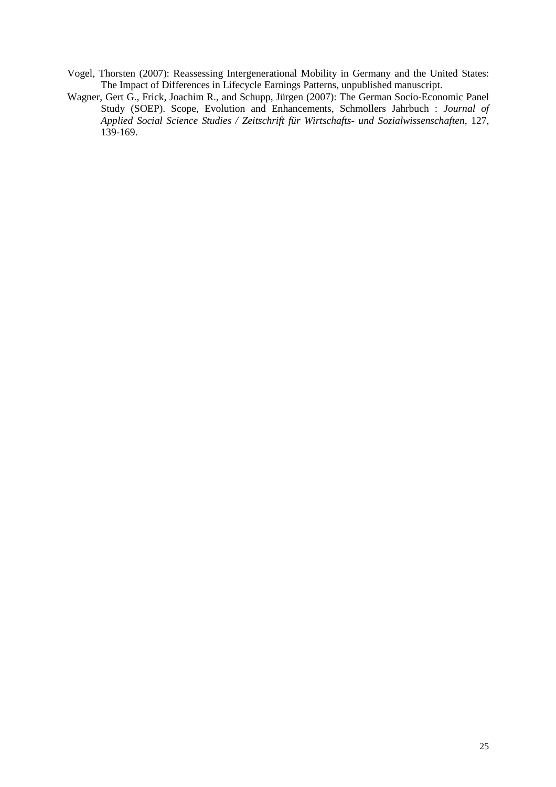- Vogel, Thorsten (2007): Reassessing Intergenerational Mobility in Germany and the United States: The Impact of Differences in Lifecycle Earnings Patterns, unpublished manuscript.
- Wagner, Gert G., Frick, Joachim R., and Schupp, Jürgen (2007): The German Socio-Economic Panel Study (SOEP). Scope, Evolution and Enhancements, Schmollers Jahrbuch : *Journal of Applied Social Science Studies / Zeitschrift für Wirtschafts- und Sozialwissenschaften*, 127, 139-169.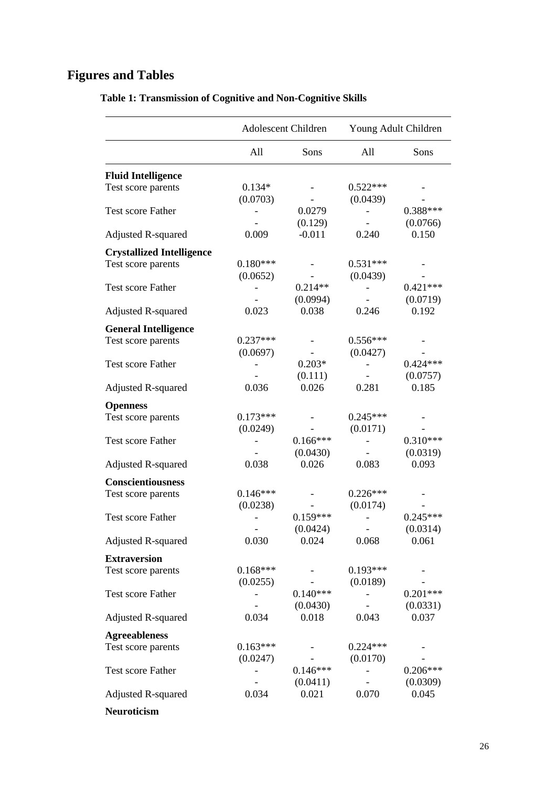# **Figures and Tables**

|                                                   |                          | Adolescent Children    |                                        | Young Adult Children   |
|---------------------------------------------------|--------------------------|------------------------|----------------------------------------|------------------------|
|                                                   | All                      | Sons                   | All                                    | Sons                   |
| <b>Fluid Intelligence</b>                         |                          |                        |                                        |                        |
| Test score parents                                | $0.134*$<br>(0.0703)     |                        | $0.522***$<br>(0.0439)                 |                        |
| Test score Father                                 |                          | 0.0279<br>(0.129)      | $\overline{\phantom{a}}$<br>$ \,$      | $0.388***$<br>(0.0766) |
| <b>Adjusted R-squared</b>                         | 0.009                    | $-0.011$               | 0.240                                  | 0.150                  |
| <b>Crystallized Intelligence</b>                  |                          |                        |                                        |                        |
| Test score parents                                | $0.180***$<br>(0.0652)   |                        | $0.531***$<br>(0.0439)                 |                        |
| Test score Father                                 | $\overline{\phantom{a}}$ | $0.214**$<br>(0.0994)  | $\overline{\phantom{a}}$<br>$\sim$ $-$ | $0.421***$<br>(0.0719) |
| <b>Adjusted R-squared</b>                         | 0.023                    | 0.038                  | 0.246                                  | 0.192                  |
| <b>General Intelligence</b><br>Test score parents | $0.237***$               |                        | $0.556***$                             |                        |
|                                                   | (0.0697)                 |                        | (0.0427)                               |                        |
| Test score Father                                 |                          | $0.203*$<br>(0.111)    | $\overline{\phantom{a}}$               | $0.424***$<br>(0.0757) |
| <b>Adjusted R-squared</b>                         | 0.036                    | 0.026                  | 0.281                                  | 0.185                  |
| <b>Openness</b>                                   |                          |                        |                                        |                        |
| Test score parents                                | $0.173***$               |                        | $0.245***$                             |                        |
|                                                   | (0.0249)                 |                        | (0.0171)                               |                        |
| <b>Test score Father</b>                          |                          | $0.166***$<br>(0.0430) |                                        | $0.310***$<br>(0.0319) |
| <b>Adjusted R-squared</b>                         | 0.038                    | 0.026                  | 0.083                                  | 0.093                  |
| Conscientiousness                                 |                          |                        |                                        |                        |
| Test score parents                                | $0.146***$               |                        | $0.226***$                             |                        |
|                                                   | (0.0238)                 |                        | (0.0174)                               |                        |
| <b>Test score Father</b>                          | $\overline{\phantom{a}}$ | $0.159***$             | $\overline{\phantom{a}}$               | $0.245***$             |
| <b>Adjusted R-squared</b>                         | $ -$<br>0.030            | (0.0424)<br>0.024      | <b>Service</b><br>0.068                | (0.0314)<br>0.061      |
| <b>Extraversion</b>                               |                          |                        |                                        |                        |
| Test score parents                                | $0.168***$<br>(0.0255)   |                        | $0.193***$<br>(0.0189)                 |                        |
| Test score Father                                 |                          | $0.140***$<br>(0.0430) | $\overline{\phantom{a}}$               | $0.201***$<br>(0.0331) |
| <b>Adjusted R-squared</b>                         | 0.034                    | 0.018                  | 0.043                                  | 0.037                  |
| <b>Agreeableness</b>                              |                          |                        |                                        |                        |
| Test score parents                                | $0.163***$<br>(0.0247)   |                        | $0.224***$<br>(0.0170)                 |                        |
| Test score Father                                 |                          | $0.146***$<br>(0.0411) | $\overline{\phantom{a}}$               | $0.206***$<br>(0.0309) |
| <b>Adjusted R-squared</b>                         | 0.034                    | 0.021                  | 0.070                                  | 0.045                  |
| <b>Neuroticism</b>                                |                          |                        |                                        |                        |

 **Table 1: Transmission of Cognitive and Non-Cognitive Skills**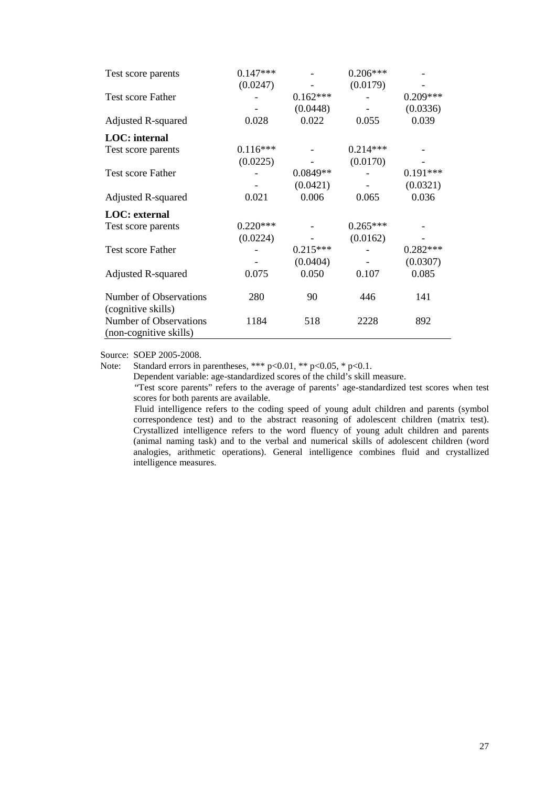| Test score parents                                      | $0.147***$ |            | $0.206***$ |            |
|---------------------------------------------------------|------------|------------|------------|------------|
|                                                         | (0.0247)   |            | (0.0179)   |            |
| <b>Test score Father</b>                                |            | $0.162***$ |            | 0.209***   |
|                                                         |            | (0.0448)   |            | (0.0336)   |
| <b>Adjusted R-squared</b>                               | 0.028      | 0.022      | 0.055      | 0.039      |
| <b>LOC</b> : internal                                   |            |            |            |            |
| Test score parents                                      | $0.116***$ |            | $0.214***$ |            |
|                                                         | (0.0225)   |            | (0.0170)   |            |
| <b>Test score Father</b>                                |            | $0.0849**$ |            | $0.191***$ |
|                                                         |            | (0.0421)   |            | (0.0321)   |
| <b>Adjusted R-squared</b>                               | 0.021      | 0.006      | 0.065      | 0.036      |
| LOC: external                                           |            |            |            |            |
| Test score parents                                      | $0.220***$ |            | $0.265***$ |            |
|                                                         | (0.0224)   |            | (0.0162)   |            |
| <b>Test score Father</b>                                |            | $0.215***$ |            | $0.282***$ |
|                                                         |            | (0.0404)   |            | (0.0307)   |
| <b>Adjusted R-squared</b>                               | 0.075      | 0.050      | 0.107      | 0.085      |
| <b>Number of Observations</b>                           | 280        | 90         | 446        | 141        |
| (cognitive skills)                                      |            |            |            |            |
| <b>Number of Observations</b><br>(non-cognitive skills) | 1184       | 518        | 2228       | 892        |

Source: SOEP 2005-2008.

Note: Standard errors in parentheses, \*\*\*  $p<0.01$ , \*\*  $p<0.05$ , \*  $p<0.1$ .

Dependent variable: age-standardized scores of the child's skill measure.

"Test score parents" refers to the average of parents' age-standardized test scores when test scores for both parents are available.

Fluid intelligence refers to the coding speed of young adult children and parents (symbol correspondence test) and to the abstract reasoning of adolescent children (matrix test). Crystallized intelligence refers to the word fluency of young adult children and parents (animal naming task) and to the verbal and numerical skills of adolescent children (word analogies, arithmetic operations). General intelligence combines fluid and crystallized intelligence measures.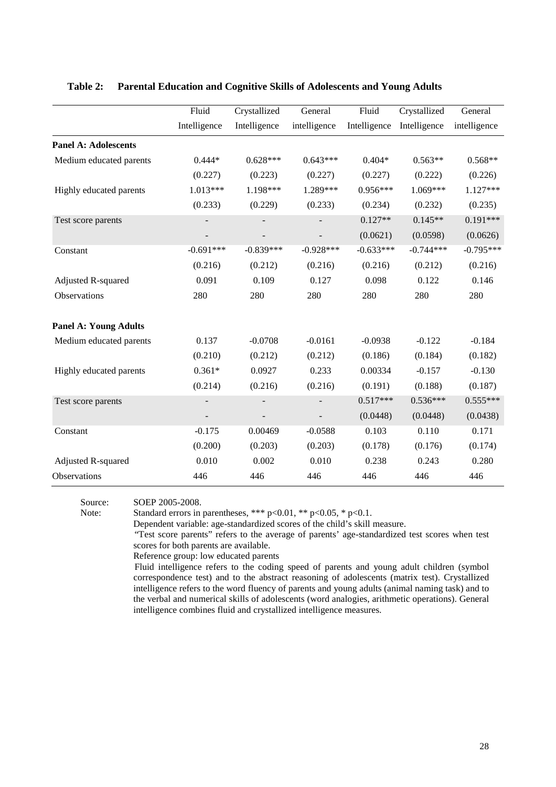|                              | Fluid        | Crystallized   | General        | Fluid        | Crystallized | General      |
|------------------------------|--------------|----------------|----------------|--------------|--------------|--------------|
|                              | Intelligence | Intelligence   | intelligence   | Intelligence | Intelligence | intelligence |
| <b>Panel A: Adolescents</b>  |              |                |                |              |              |              |
| Medium educated parents      | $0.444*$     | $0.628***$     | $0.643***$     | $0.404*$     | $0.563**$    | $0.568**$    |
|                              | (0.227)      | (0.223)        | (0.227)        | (0.227)      | (0.222)      | (0.226)      |
| Highly educated parents      | $1.013***$   | 1.198***       | 1.289***       | $0.956***$   | 1.069***     | 1.127***     |
|                              | (0.233)      | (0.229)        | (0.233)        | (0.234)      | (0.232)      | (0.235)      |
| Test score parents           |              | $\blacksquare$ | $\overline{a}$ | $0.127**$    | $0.145**$    | $0.191***$   |
|                              |              |                |                | (0.0621)     | (0.0598)     | (0.0626)     |
| Constant                     | $-0.691***$  | $-0.839***$    | $-0.928***$    | $-0.633***$  | $-0.744***$  | $-0.795***$  |
|                              | (0.216)      | (0.212)        | (0.216)        | (0.216)      | (0.212)      | (0.216)      |
| Adjusted R-squared           | 0.091        | 0.109          | 0.127          | 0.098        | 0.122        | 0.146        |
| Observations                 | 280          | 280            | 280            | 280          | 280          | 280          |
| <b>Panel A: Young Adults</b> |              |                |                |              |              |              |
| Medium educated parents      | 0.137        | $-0.0708$      | $-0.0161$      | $-0.0938$    | $-0.122$     | $-0.184$     |
|                              | (0.210)      | (0.212)        | (0.212)        | (0.186)      | (0.184)      | (0.182)      |
| Highly educated parents      | $0.361*$     | 0.0927         | 0.233          | 0.00334      | $-0.157$     | $-0.130$     |
|                              | (0.214)      | (0.216)        | (0.216)        | (0.191)      | (0.188)      | (0.187)      |
| Test score parents           |              |                |                | $0.517***$   | $0.536***$   | $0.555***$   |
|                              |              |                |                | (0.0448)     | (0.0448)     | (0.0438)     |
| Constant                     | $-0.175$     | 0.00469        | $-0.0588$      | 0.103        | 0.110        | 0.171        |
|                              | (0.200)      | (0.203)        | (0.203)        | (0.178)      | (0.176)      | (0.174)      |
| Adjusted R-squared           | 0.010        | 0.002          | 0.010          | 0.238        | 0.243        | 0.280        |
| Observations                 | 446          | 446            | 446            | 446          | 446          | 446          |

**Table 2: Parental Education and Cognitive Skills of Adolescents and Young Adults** 

Source: SOEP 2005-2008.

Note: Standard errors in parentheses, \*\*\* p<0.01, \*\* p<0.05, \* p<0.1.

Dependent variable: age-standardized scores of the child's skill measure.

"Test score parents" refers to the average of parents' age-standardized test scores when test scores for both parents are available.

Reference group: low educated parents

Fluid intelligence refers to the coding speed of parents and young adult children (symbol correspondence test) and to the abstract reasoning of adolescents (matrix test). Crystallized intelligence refers to the word fluency of parents and young adults (animal naming task) and to the verbal and numerical skills of adolescents (word analogies, arithmetic operations). General intelligence combines fluid and crystallized intelligence measures.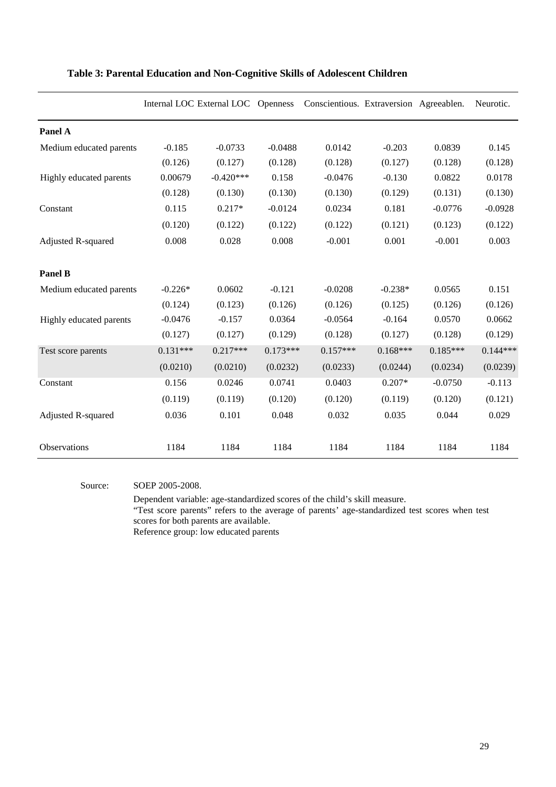|                         | Internal LOC External LOC |             | <b>Openness</b> | Conscientious. Extraversion Agreeablen. |            |            | Neurotic.  |
|-------------------------|---------------------------|-------------|-----------------|-----------------------------------------|------------|------------|------------|
| Panel A                 |                           |             |                 |                                         |            |            |            |
| Medium educated parents | $-0.185$                  | $-0.0733$   | $-0.0488$       | 0.0142                                  | $-0.203$   | 0.0839     | 0.145      |
|                         | (0.126)                   | (0.127)     | (0.128)         | (0.128)                                 | (0.127)    | (0.128)    | (0.128)    |
| Highly educated parents | 0.00679                   | $-0.420***$ | 0.158           | $-0.0476$                               | $-0.130$   | 0.0822     | 0.0178     |
|                         | (0.128)                   | (0.130)     | (0.130)         | (0.130)                                 | (0.129)    | (0.131)    | (0.130)    |
| Constant                | 0.115                     | $0.217*$    | $-0.0124$       | 0.0234                                  | 0.181      | $-0.0776$  | $-0.0928$  |
|                         | (0.120)                   | (0.122)     | (0.122)         | (0.122)                                 | (0.121)    | (0.123)    | (0.122)    |
| Adjusted R-squared      | 0.008                     | 0.028       | 0.008           | $-0.001$                                | 0.001      | $-0.001$   | 0.003      |
| Panel B                 |                           |             |                 |                                         |            |            |            |
| Medium educated parents | $-0.226*$                 | 0.0602      | $-0.121$        | $-0.0208$                               | $-0.238*$  | 0.0565     | 0.151      |
|                         | (0.124)                   | (0.123)     | (0.126)         | (0.126)                                 | (0.125)    | (0.126)    | (0.126)    |
| Highly educated parents | $-0.0476$                 | $-0.157$    | 0.0364          | $-0.0564$                               | $-0.164$   | 0.0570     | 0.0662     |
|                         | (0.127)                   | (0.127)     | (0.129)         | (0.128)                                 | (0.127)    | (0.128)    | (0.129)    |
| Test score parents      | $0.131***$                | $0.217***$  | $0.173***$      | $0.157***$                              | $0.168***$ | $0.185***$ | $0.144***$ |
|                         | (0.0210)                  | (0.0210)    | (0.0232)        | (0.0233)                                | (0.0244)   | (0.0234)   | (0.0239)   |
| Constant                | 0.156                     | 0.0246      | 0.0741          | 0.0403                                  | $0.207*$   | $-0.0750$  | $-0.113$   |
|                         | (0.119)                   | (0.119)     | (0.120)         | (0.120)                                 | (0.119)    | (0.120)    | (0.121)    |
| Adjusted R-squared      | 0.036                     | 0.101       | 0.048           | 0.032                                   | 0.035      | 0.044      | 0.029      |
| Observations            | 1184                      | 1184        | 1184            | 1184                                    | 1184       | 1184       | 1184       |

#### **Table 3: Parental Education and Non-Cognitive Skills of Adolescent Children**

Source: SOEP 2005-2008.

Dependent variable: age-standardized scores of the child's skill measure. "Test score parents" refers to the average of parents' age-standardized test scores when test scores for both parents are available. Reference group: low educated parents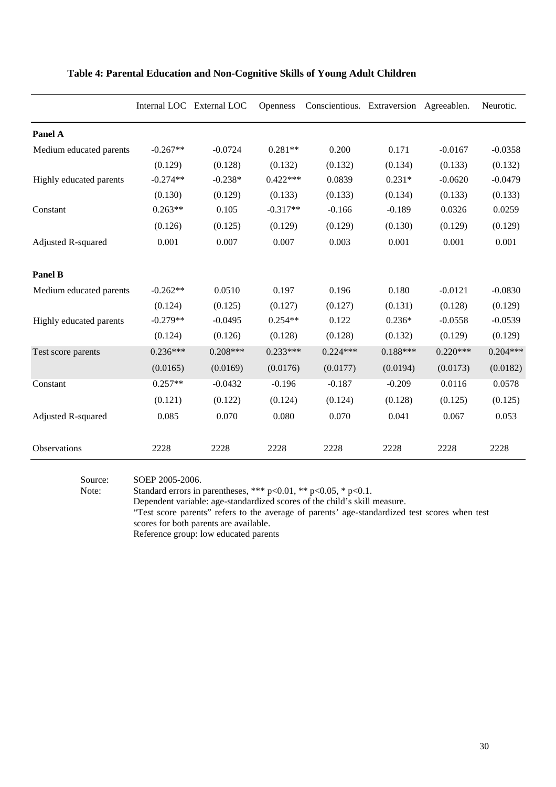|                         |            | Internal LOC External LOC | <b>Openness</b> | Conscientious. Extraversion Agreeablen. |            |            | Neurotic.  |
|-------------------------|------------|---------------------------|-----------------|-----------------------------------------|------------|------------|------------|
| Panel A                 |            |                           |                 |                                         |            |            |            |
| Medium educated parents | $-0.267**$ | $-0.0724$                 | $0.281**$       | 0.200                                   | 0.171      | $-0.0167$  | $-0.0358$  |
|                         | (0.129)    | (0.128)                   | (0.132)         | (0.132)                                 | (0.134)    | (0.133)    | (0.132)    |
| Highly educated parents | $-0.274**$ | $-0.238*$                 | $0.422***$      | 0.0839                                  | $0.231*$   | $-0.0620$  | $-0.0479$  |
|                         | (0.130)    | (0.129)                   | (0.133)         | (0.133)                                 | (0.134)    | (0.133)    | (0.133)    |
| Constant                | $0.263**$  | 0.105                     | $-0.317**$      | $-0.166$                                | $-0.189$   | 0.0326     | 0.0259     |
|                         | (0.126)    | (0.125)                   | (0.129)         | (0.129)                                 | (0.130)    | (0.129)    | (0.129)    |
| Adjusted R-squared      | 0.001      | 0.007                     | 0.007           | 0.003                                   | 0.001      | 0.001      | 0.001      |
| <b>Panel B</b>          |            |                           |                 |                                         |            |            |            |
| Medium educated parents | $-0.262**$ | 0.0510                    | 0.197           | 0.196                                   | 0.180      | $-0.0121$  | $-0.0830$  |
|                         | (0.124)    | (0.125)                   | (0.127)         | (0.127)                                 | (0.131)    | (0.128)    | (0.129)    |
| Highly educated parents | $-0.279**$ | $-0.0495$                 | $0.254**$       | 0.122                                   | $0.236*$   | $-0.0558$  | $-0.0539$  |
|                         | (0.124)    | (0.126)                   | (0.128)         | (0.128)                                 | (0.132)    | (0.129)    | (0.129)    |
| Test score parents      | $0.236***$ | $0.208***$                | $0.233***$      | $0.224***$                              | $0.188***$ | $0.220***$ | $0.204***$ |
|                         | (0.0165)   | (0.0169)                  | (0.0176)        | (0.0177)                                | (0.0194)   | (0.0173)   | (0.0182)   |
| Constant                | $0.257**$  | $-0.0432$                 | $-0.196$        | $-0.187$                                | $-0.209$   | 0.0116     | 0.0578     |
|                         | (0.121)    | (0.122)                   | (0.124)         | (0.124)                                 | (0.128)    | (0.125)    | (0.125)    |
| Adjusted R-squared      | 0.085      | 0.070                     | 0.080           | 0.070                                   | 0.041      | 0.067      | 0.053      |
| <b>Observations</b>     | 2228       | 2228                      | 2228            | 2228                                    | 2228       | 2228       | 2228       |

#### **Table 4: Parental Education and Non-Cognitive Skills of Young Adult Children**

Source: SOEP 2005-2006.<br>Note: Standard errors in Note: Standard errors in parentheses,  $**$   $p<0.01$ ,  $**$   $p<0.05$ ,  $*$   $p<0.1$ . Dependent variable: age-standardized scores of the child's skill measure. "Test score parents" refers to the average of parents' age-standardized test scores when test scores for both parents are available. Reference group: low educated parents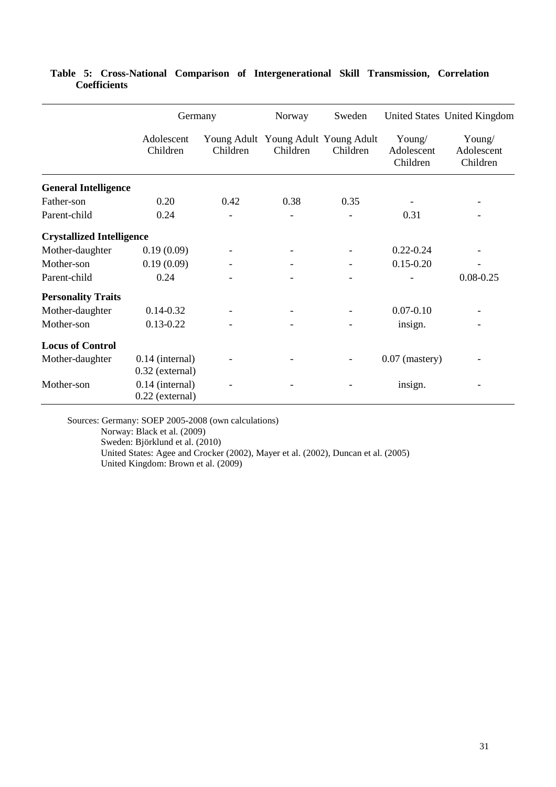|                                  | Germany                                |          | Norway                                          | Sweden   |                                  | United States United Kingdom     |
|----------------------------------|----------------------------------------|----------|-------------------------------------------------|----------|----------------------------------|----------------------------------|
|                                  | Adolescent<br>Children                 | Children | Young Adult Young Adult Young Adult<br>Children | Children | Young/<br>Adolescent<br>Children | Young/<br>Adolescent<br>Children |
| <b>General Intelligence</b>      |                                        |          |                                                 |          |                                  |                                  |
| Father-son                       | 0.20                                   | 0.42     | 0.38                                            | 0.35     |                                  |                                  |
| Parent-child                     | 0.24                                   |          |                                                 |          | 0.31                             |                                  |
| <b>Crystallized Intelligence</b> |                                        |          |                                                 |          |                                  |                                  |
| Mother-daughter                  | 0.19(0.09)                             |          |                                                 |          | $0.22 - 0.24$                    |                                  |
| Mother-son                       | 0.19(0.09)                             |          |                                                 |          | $0.15 - 0.20$                    |                                  |
| Parent-child                     | 0.24                                   |          |                                                 |          |                                  | $0.08 - 0.25$                    |
| <b>Personality Traits</b>        |                                        |          |                                                 |          |                                  |                                  |
| Mother-daughter                  | $0.14 - 0.32$                          |          |                                                 |          | $0.07 - 0.10$                    |                                  |
| Mother-son                       | $0.13 - 0.22$                          |          |                                                 |          | insign.                          |                                  |
| <b>Locus of Control</b>          |                                        |          |                                                 |          |                                  |                                  |
| Mother-daughter                  | $0.14$ (internal)<br>$0.32$ (external) |          |                                                 |          | $0.07$ (mastery)                 |                                  |
| Mother-son                       | $0.14$ (internal)<br>0.22 (external)   |          |                                                 |          | insign.                          |                                  |

# **Table 5: Cross-National Comparison of Intergenerational Skill Transmission, Correlation Coefficients**

Sources: Germany: SOEP 2005-2008 (own calculations) Norway: Black et al. (2009) Sweden: Björklund et al. (2010) United States: Agee and Crocker (2002), Mayer et al. (2002), Duncan et al. (2005) United Kingdom: Brown et al. (2009)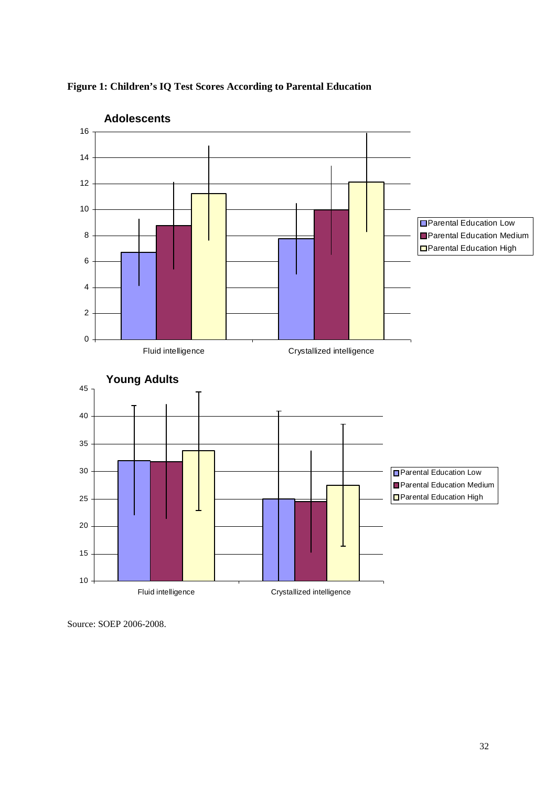

**Figure 1: Children's IQ Test Scores According to Parental Education** 

Source: SOEP 2006-2008.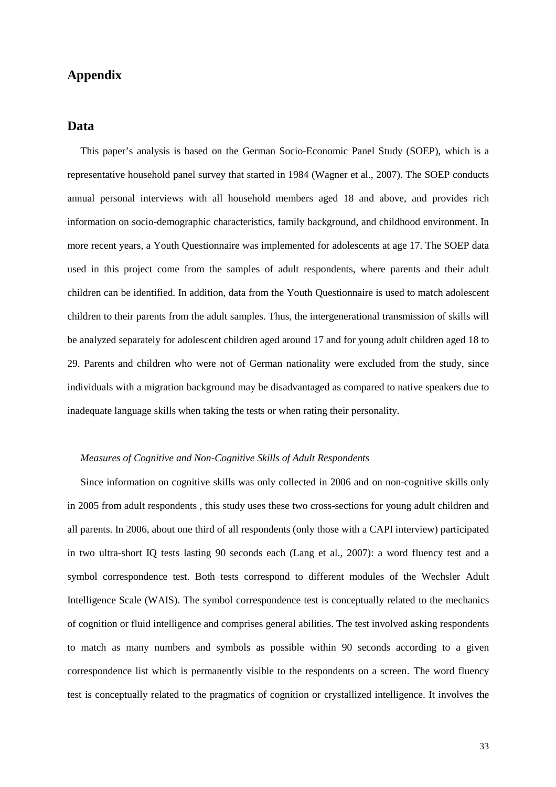# **Appendix**

# **Data**

This paper's analysis is based on the German Socio-Economic Panel Study (SOEP), which is a representative household panel survey that started in 1984 (Wagner et al., 2007). The SOEP conducts annual personal interviews with all household members aged 18 and above, and provides rich information on socio-demographic characteristics, family background, and childhood environment. In more recent years, a Youth Questionnaire was implemented for adolescents at age 17. The SOEP data used in this project come from the samples of adult respondents, where parents and their adult children can be identified. In addition, data from the Youth Questionnaire is used to match adolescent children to their parents from the adult samples. Thus, the intergenerational transmission of skills will be analyzed separately for adolescent children aged around 17 and for young adult children aged 18 to 29. Parents and children who were not of German nationality were excluded from the study, since individuals with a migration background may be disadvantaged as compared to native speakers due to inadequate language skills when taking the tests or when rating their personality.

#### *Measures of Cognitive and Non-Cognitive Skills of Adult Respondents*

Since information on cognitive skills was only collected in 2006 and on non-cognitive skills only in 2005 from adult respondents , this study uses these two cross-sections for young adult children and all parents. In 2006, about one third of all respondents (only those with a CAPI interview) participated in two ultra-short IQ tests lasting 90 seconds each (Lang et al., 2007): a word fluency test and a symbol correspondence test. Both tests correspond to different modules of the Wechsler Adult Intelligence Scale (WAIS). The symbol correspondence test is conceptually related to the mechanics of cognition or fluid intelligence and comprises general abilities. The test involved asking respondents to match as many numbers and symbols as possible within 90 seconds according to a given correspondence list which is permanently visible to the respondents on a screen. The word fluency test is conceptually related to the pragmatics of cognition or crystallized intelligence. It involves the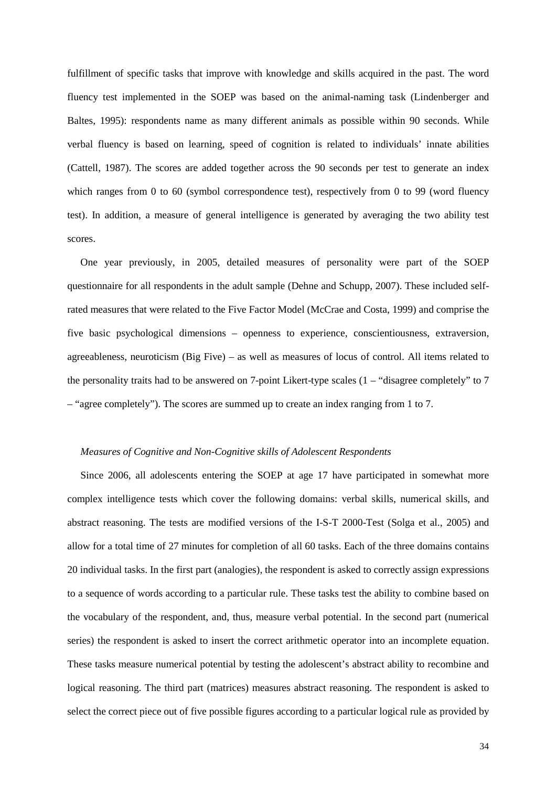fulfillment of specific tasks that improve with knowledge and skills acquired in the past. The word fluency test implemented in the SOEP was based on the animal-naming task (Lindenberger and Baltes, 1995): respondents name as many different animals as possible within 90 seconds. While verbal fluency is based on learning, speed of cognition is related to individuals' innate abilities (Cattell, 1987). The scores are added together across the 90 seconds per test to generate an index which ranges from 0 to 60 (symbol correspondence test), respectively from 0 to 99 (word fluency test). In addition, a measure of general intelligence is generated by averaging the two ability test scores.

One year previously, in 2005, detailed measures of personality were part of the SOEP questionnaire for all respondents in the adult sample (Dehne and Schupp, 2007). These included selfrated measures that were related to the Five Factor Model (McCrae and Costa, 1999) and comprise the five basic psychological dimensions – openness to experience, conscientiousness, extraversion, agreeableness, neuroticism (Big Five) – as well as measures of locus of control. All items related to the personality traits had to be answered on 7-point Likert-type scales (1 – "disagree completely" to 7 – "agree completely"). The scores are summed up to create an index ranging from 1 to 7.

#### *Measures of Cognitive and Non-Cognitive skills of Adolescent Respondents*

Since 2006, all adolescents entering the SOEP at age 17 have participated in somewhat more complex intelligence tests which cover the following domains: verbal skills, numerical skills, and abstract reasoning. The tests are modified versions of the I-S-T 2000-Test (Solga et al., 2005) and allow for a total time of 27 minutes for completion of all 60 tasks. Each of the three domains contains 20 individual tasks. In the first part (analogies), the respondent is asked to correctly assign expressions to a sequence of words according to a particular rule. These tasks test the ability to combine based on the vocabulary of the respondent, and, thus, measure verbal potential. In the second part (numerical series) the respondent is asked to insert the correct arithmetic operator into an incomplete equation. These tasks measure numerical potential by testing the adolescent's abstract ability to recombine and logical reasoning. The third part (matrices) measures abstract reasoning. The respondent is asked to select the correct piece out of five possible figures according to a particular logical rule as provided by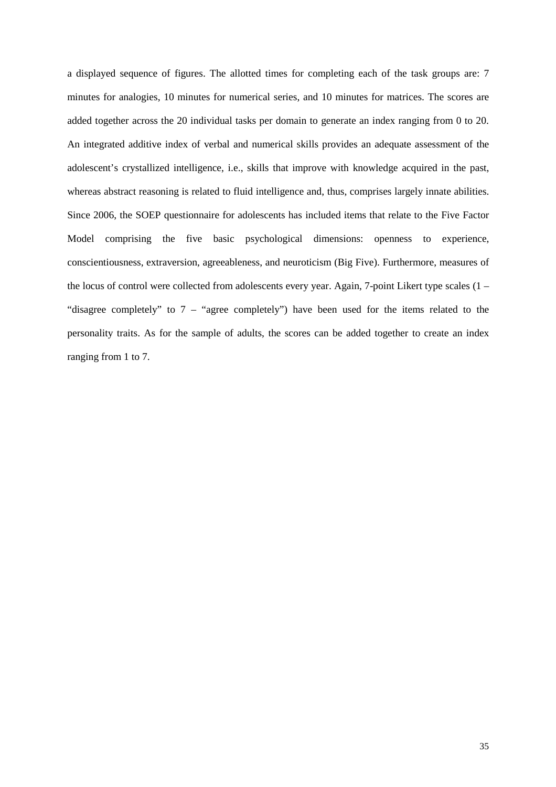a displayed sequence of figures. The allotted times for completing each of the task groups are: 7 minutes for analogies, 10 minutes for numerical series, and 10 minutes for matrices. The scores are added together across the 20 individual tasks per domain to generate an index ranging from 0 to 20. An integrated additive index of verbal and numerical skills provides an adequate assessment of the adolescent's crystallized intelligence, i.e., skills that improve with knowledge acquired in the past, whereas abstract reasoning is related to fluid intelligence and, thus, comprises largely innate abilities. Since 2006, the SOEP questionnaire for adolescents has included items that relate to the Five Factor Model comprising the five basic psychological dimensions: openness to experience, conscientiousness, extraversion, agreeableness, and neuroticism (Big Five). Furthermore, measures of the locus of control were collected from adolescents every year. Again, 7-point Likert type scales (1 – "disagree completely" to 7 – "agree completely") have been used for the items related to the personality traits. As for the sample of adults, the scores can be added together to create an index ranging from 1 to 7.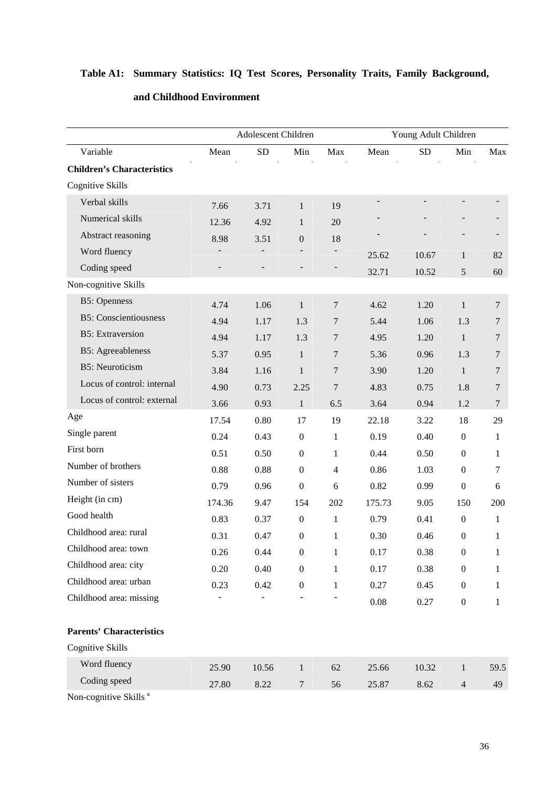# **Table A1: Summary Statistics: IQ Test Scores, Personality Traits, Family Background,**

# **and Childhood Environment**

|                                   |        | Adolescent Children |                  | Young Adult Children |        |           |                  |              |
|-----------------------------------|--------|---------------------|------------------|----------------------|--------|-----------|------------------|--------------|
| Variable                          | Mean   | <b>SD</b>           | Min              | Max                  | Mean   | <b>SD</b> | Min              | Max          |
| <b>Children's Characteristics</b> |        |                     |                  |                      |        |           |                  |              |
| Cognitive Skills                  |        |                     |                  |                      |        |           |                  |              |
| Verbal skills                     | 7.66   | 3.71                | $\mathbf{1}$     | 19                   |        |           | -                |              |
| Numerical skills                  | 12.36  | 4.92                | $\mathbf{1}$     | 20                   |        |           | -                |              |
| Abstract reasoning                | 8.98   | 3.51                | $\boldsymbol{0}$ | 18                   |        |           | -                |              |
| Word fluency                      |        |                     |                  |                      | 25.62  | 10.67     | 1                | 82           |
| Coding speed                      |        |                     |                  |                      | 32.71  | 10.52     | 5                | 60           |
| Non-cognitive Skills              |        |                     |                  |                      |        |           |                  |              |
| <b>B5: Openness</b>               | 4.74   | 1.06                | $\mathbf{1}$     | $\overline{7}$       | 4.62   | 1.20      | $\mathbf{1}$     | 7            |
| <b>B5: Conscientiousness</b>      | 4.94   | 1.17                | 1.3              | 7                    | 5.44   | 1.06      | 1.3              | 7            |
| <b>B5:</b> Extraversion           | 4.94   | 1.17                | 1.3              | 7                    | 4.95   | 1.20      | $\mathbf{1}$     | 7            |
| <b>B5:</b> Agreeableness          | 5.37   | 0.95                | $\mathbf{1}$     | 7                    | 5.36   | 0.96      | 1.3              | 7            |
| <b>B5:</b> Neuroticism            | 3.84   | 1.16                | $\mathbf{1}$     | 7                    | 3.90   | 1.20      | $\mathbf{1}$     | 7            |
| Locus of control: internal        | 4.90   | 0.73                | 2.25             | $\overline{7}$       | 4.83   | 0.75      | 1.8              | 7            |
| Locus of control: external        | 3.66   | 0.93                | $\mathbf{1}$     | 6.5                  | 3.64   | 0.94      | 1.2              | 7            |
| Age                               | 17.54  | 0.80                | 17               | 19                   | 22.18  | 3.22      | 18               | 29           |
| Single parent                     | 0.24   | 0.43                | $\boldsymbol{0}$ | 1                    | 0.19   | 0.40      | $\boldsymbol{0}$ | 1            |
| First born                        | 0.51   | 0.50                | $\boldsymbol{0}$ | 1                    | 0.44   | 0.50      | $\boldsymbol{0}$ | 1            |
| Number of brothers                | 0.88   | 0.88                | $\boldsymbol{0}$ | $\overline{4}$       | 0.86   | 1.03      | $\boldsymbol{0}$ | 7            |
| Number of sisters                 | 0.79   | 0.96                | $\boldsymbol{0}$ | 6                    | 0.82   | 0.99      | $\boldsymbol{0}$ | 6            |
| Height (in cm)                    | 174.36 | 9.47                | 154              | 202                  | 175.73 | 9.05      | 150              | 200          |
| Good health                       | 0.83   | 0.37                | $\boldsymbol{0}$ | $\mathbf{1}$         | 0.79   | 0.41      | $\boldsymbol{0}$ | $\mathbf{1}$ |
| Childhood area: rural             | 0.31   | 0.47                | $\boldsymbol{0}$ | 1                    | 0.30   | 0.46      | $\boldsymbol{0}$ | 1            |
| Childhood area: town              | 0.26   | 0.44                | $\boldsymbol{0}$ | 1                    | 0.17   | 0.38      | $\boldsymbol{0}$ | 1            |
| Childhood area: city              | 0.20   | 0.40                | $\boldsymbol{0}$ | $\mathbf{1}$         | 0.17   | 0.38      | $\boldsymbol{0}$ | 1            |
| Childhood area: urban             | 0.23   | 0.42                | $\boldsymbol{0}$ | 1                    | 0.27   | 0.45      | $\boldsymbol{0}$ | 1            |
| Childhood area: missing           |        |                     |                  |                      | 0.08   | 0.27      | $\boldsymbol{0}$ | 1            |
| <b>Parents' Characteristics</b>   |        |                     |                  |                      |        |           |                  |              |
| <b>Cognitive Skills</b>           |        |                     |                  |                      |        |           |                  |              |
| Word fluency                      | 25.90  | 10.56               | $\mathbf{1}$     | $62\,$               | 25.66  | 10.32     | $\mathbf{1}$     | 59.5         |
| Coding speed                      | 27.80  | 8.22                | $\tau$           | 56                   | 25.87  | 8.62      | $\overline{4}$   | 49           |
|                                   |        |                     |                  |                      |        |           |                  |              |

Non-cognitive Skills<sup>a</sup>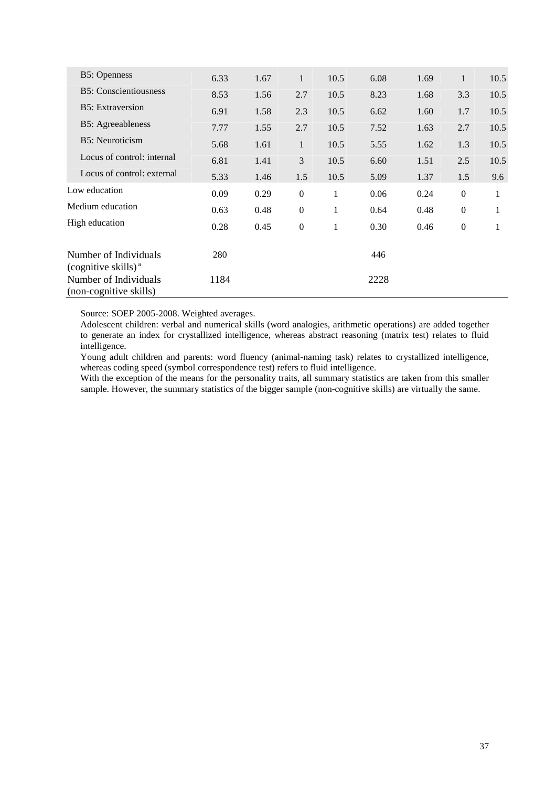| <b>B5</b> : Openness                                        |      |      |                  |              |      |      |                  |              |
|-------------------------------------------------------------|------|------|------------------|--------------|------|------|------------------|--------------|
|                                                             | 6.33 | 1.67 | $\mathbf{1}$     | 10.5         | 6.08 | 1.69 | 1                | 10.5         |
| <b>B5</b> : Conscientiousness                               | 8.53 | 1.56 | 2.7              | 10.5         | 8.23 | 1.68 | 3.3              | 10.5         |
| <b>B5</b> : Extraversion                                    | 6.91 | 1.58 | 2.3              | 10.5         | 6.62 | 1.60 | 1.7              | 10.5         |
| <b>B5</b> : Agreeableness                                   | 7.77 | 1.55 | 2.7              | 10.5         | 7.52 | 1.63 | 2.7              | 10.5         |
| <b>B5:</b> Neuroticism                                      | 5.68 | 1.61 | $\mathbf{1}$     | 10.5         | 5.55 | 1.62 | 1.3              | 10.5         |
| Locus of control: internal                                  | 6.81 | 1.41 | 3                | 10.5         | 6.60 | 1.51 | 2.5              | 10.5         |
| Locus of control: external                                  | 5.33 | 1.46 | 1.5              | 10.5         | 5.09 | 1.37 | 1.5              | 9.6          |
| Low education                                               | 0.09 | 0.29 | $\boldsymbol{0}$ | $\mathbf{1}$ | 0.06 | 0.24 | $\boldsymbol{0}$ | $\mathbf{1}$ |
| Medium education                                            | 0.63 | 0.48 | $\boldsymbol{0}$ | $\mathbf{1}$ | 0.64 | 0.48 | $\boldsymbol{0}$ | 1            |
| High education                                              | 0.28 | 0.45 | $\boldsymbol{0}$ | $\mathbf{1}$ | 0.30 | 0.46 | $\boldsymbol{0}$ | 1            |
| Number of Individuals<br>$(c$ ognitive skills) <sup>a</sup> | 280  |      |                  |              | 446  |      |                  |              |
| Number of Individuals<br>(non-cognitive skills)             | 1184 |      |                  |              | 2228 |      |                  |              |

Source: SOEP 2005-2008. Weighted averages.

Adolescent children: verbal and numerical skills (word analogies, arithmetic operations) are added together to generate an index for crystallized intelligence, whereas abstract reasoning (matrix test) relates to fluid intelligence.

Young adult children and parents: word fluency (animal-naming task) relates to crystallized intelligence, whereas coding speed (symbol correspondence test) refers to fluid intelligence.

With the exception of the means for the personality traits, all summary statistics are taken from this smaller sample. However, the summary statistics of the bigger sample (non-cognitive skills) are virtually the same.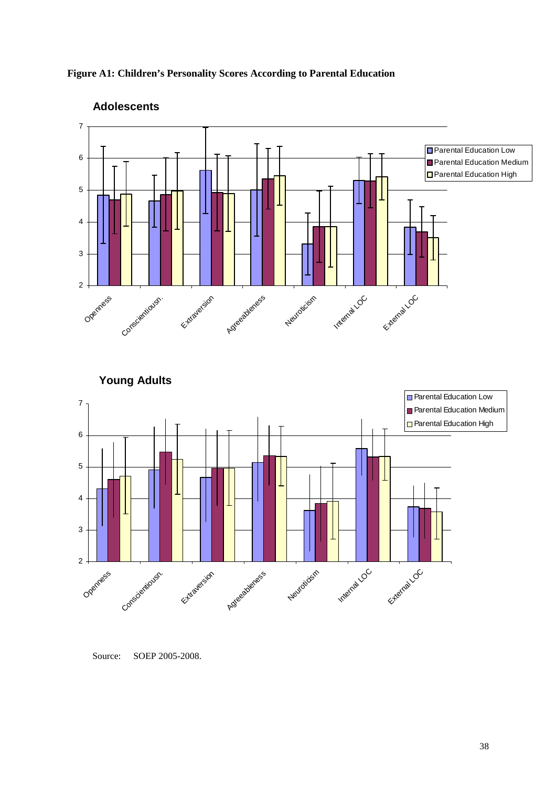**Figure A1: Children's Personality Scores According to Parental Education** 



# **Adolescents**

**Young Adults**